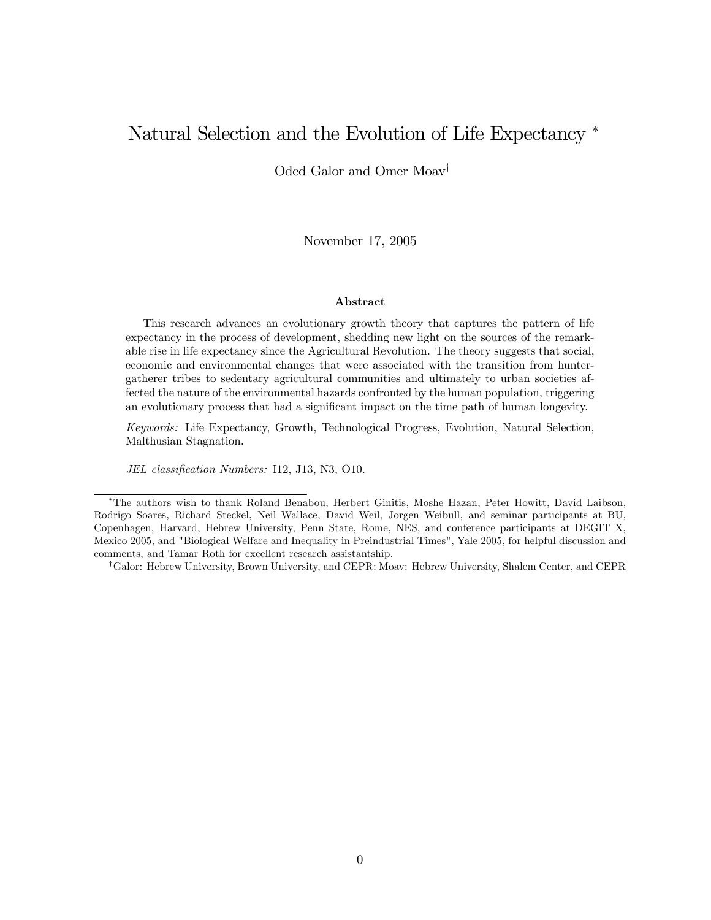## Natural Selection and the Evolution of Life Expectancy <sup>∗</sup>

Oded Galor and Omer Moav†

November 17, 2005

#### Abstract

This research advances an evolutionary growth theory that captures the pattern of life expectancy in the process of development, shedding new light on the sources of the remarkable rise in life expectancy since the Agricultural Revolution. The theory suggests that social, economic and environmental changes that were associated with the transition from huntergatherer tribes to sedentary agricultural communities and ultimately to urban societies affected the nature of the environmental hazards confronted by the human population, triggering an evolutionary process that had a significant impact on the time path of human longevity.

Keywords: Life Expectancy, Growth, Technological Progress, Evolution, Natural Selection, Malthusian Stagnation.

JEL classification Numbers: I12, J13, N3, O10.

†Galor: Hebrew University, Brown University, and CEPR; Moav: Hebrew University, Shalem Center, and CEPR

<sup>∗</sup>The authors wish to thank Roland Benabou, Herbert Ginitis, Moshe Hazan, Peter Howitt, David Laibson, Rodrigo Soares, Richard Steckel, Neil Wallace, David Weil, Jorgen Weibull, and seminar participants at BU, Copenhagen, Harvard, Hebrew University, Penn State, Rome, NES, and conference participants at DEGIT X, Mexico 2005, and "Biological Welfare and Inequality in Preindustrial Times", Yale 2005, for helpful discussion and comments, and Tamar Roth for excellent research assistantship.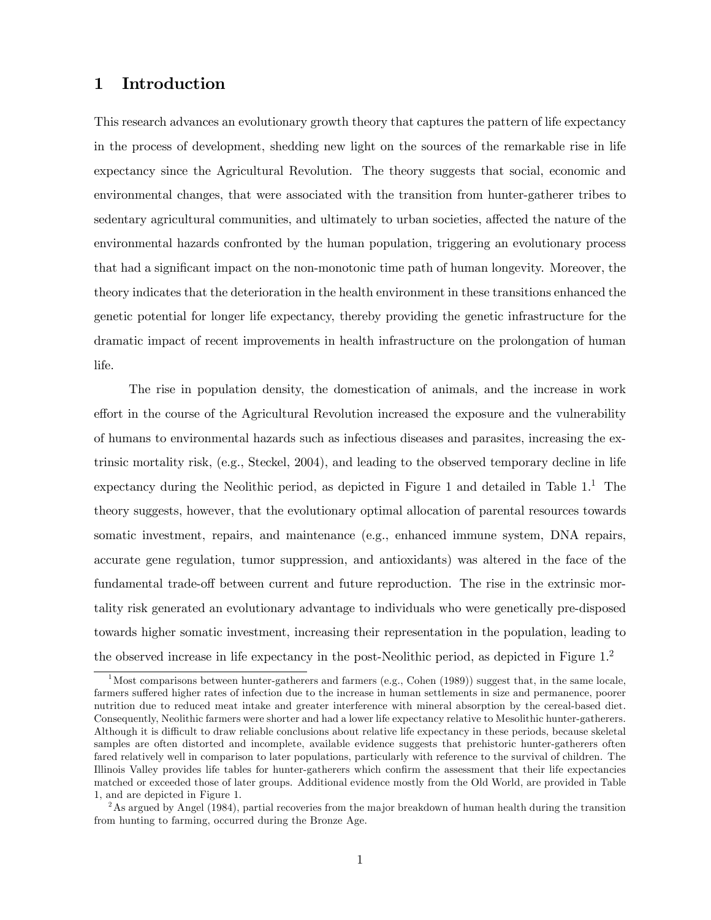## 1 Introduction

This research advances an evolutionary growth theory that captures the pattern of life expectancy in the process of development, shedding new light on the sources of the remarkable rise in life expectancy since the Agricultural Revolution. The theory suggests that social, economic and environmental changes, that were associated with the transition from hunter-gatherer tribes to sedentary agricultural communities, and ultimately to urban societies, affected the nature of the environmental hazards confronted by the human population, triggering an evolutionary process that had a significant impact on the non-monotonic time path of human longevity. Moreover, the theory indicates that the deterioration in the health environment in these transitions enhanced the genetic potential for longer life expectancy, thereby providing the genetic infrastructure for the dramatic impact of recent improvements in health infrastructure on the prolongation of human life.

The rise in population density, the domestication of animals, and the increase in work effort in the course of the Agricultural Revolution increased the exposure and the vulnerability of humans to environmental hazards such as infectious diseases and parasites, increasing the extrinsic mortality risk, (e.g., Steckel, 2004), and leading to the observed temporary decline in life expectancy during the Neolithic period, as depicted in Figure 1 and detailed in Table  $1<sup>1</sup>$ . The theory suggests, however, that the evolutionary optimal allocation of parental resources towards somatic investment, repairs, and maintenance (e.g., enhanced immune system, DNA repairs, accurate gene regulation, tumor suppression, and antioxidants) was altered in the face of the fundamental trade-off between current and future reproduction. The rise in the extrinsic mortality risk generated an evolutionary advantage to individuals who were genetically pre-disposed towards higher somatic investment, increasing their representation in the population, leading to the observed increase in life expectancy in the post-Neolithic period, as depicted in Figure 1.2

<sup>&</sup>lt;sup>1</sup>Most comparisons between hunter-gatherers and farmers (e.g., Cohen  $(1989)$ ) suggest that, in the same locale, farmers suffered higher rates of infection due to the increase in human settlements in size and permanence, poorer nutrition due to reduced meat intake and greater interference with mineral absorption by the cereal-based diet. Consequently, Neolithic farmers were shorter and had a lower life expectancy relative to Mesolithic hunter-gatherers. Although it is difficult to draw reliable conclusions about relative life expectancy in these periods, because skeletal samples are often distorted and incomplete, available evidence suggests that prehistoric hunter-gatherers often fared relatively well in comparison to later populations, particularly with reference to the survival of children. The Illinois Valley provides life tables for hunter-gatherers which confirm the assessment that their life expectancies matched or exceeded those of later groups. Additional evidence mostly from the Old World, are provided in Table 1, and are depicted in Figure 1.

<sup>&</sup>lt;sup>2</sup>As argued by Angel (1984), partial recoveries from the major breakdown of human health during the transition from hunting to farming, occurred during the Bronze Age.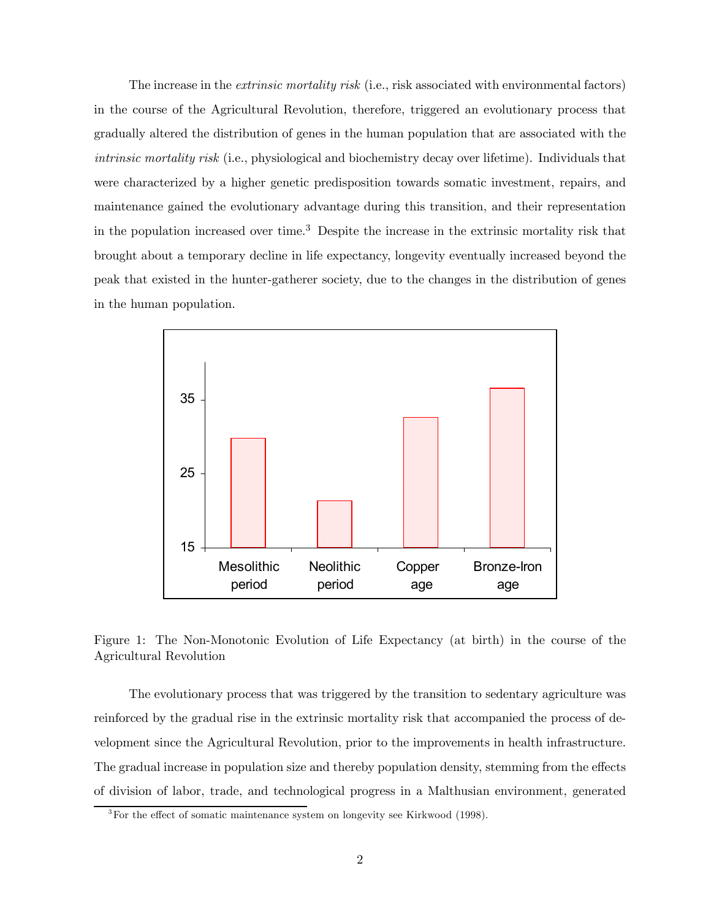The increase in the *extrinsic mortality risk* (i.e., risk associated with environmental factors) in the course of the Agricultural Revolution, therefore, triggered an evolutionary process that gradually altered the distribution of genes in the human population that are associated with the intrinsic mortality risk (i.e., physiological and biochemistry decay over lifetime). Individuals that were characterized by a higher genetic predisposition towards somatic investment, repairs, and maintenance gained the evolutionary advantage during this transition, and their representation in the population increased over time.<sup>3</sup> Despite the increase in the extrinsic mortality risk that brought about a temporary decline in life expectancy, longevity eventually increased beyond the peak that existed in the hunter-gatherer society, due to the changes in the distribution of genes in the human population.



Figure 1: The Non-Monotonic Evolution of Life Expectancy (at birth) in the course of the Agricultural Revolution

The evolutionary process that was triggered by the transition to sedentary agriculture was reinforced by the gradual rise in the extrinsic mortality risk that accompanied the process of development since the Agricultural Revolution, prior to the improvements in health infrastructure. The gradual increase in population size and thereby population density, stemming from the effects of division of labor, trade, and technological progress in a Malthusian environment, generated

<sup>&</sup>lt;sup>3</sup>For the effect of somatic maintenance system on longevity see Kirkwood (1998).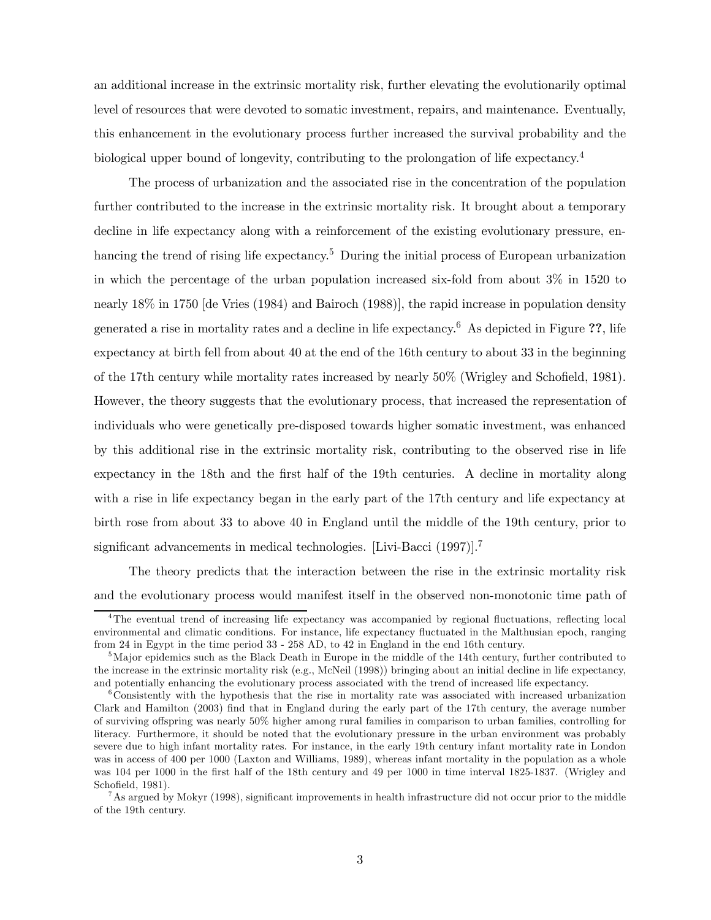an additional increase in the extrinsic mortality risk, further elevating the evolutionarily optimal level of resources that were devoted to somatic investment, repairs, and maintenance. Eventually, this enhancement in the evolutionary process further increased the survival probability and the biological upper bound of longevity, contributing to the prolongation of life expectancy.4

The process of urbanization and the associated rise in the concentration of the population further contributed to the increase in the extrinsic mortality risk. It brought about a temporary decline in life expectancy along with a reinforcement of the existing evolutionary pressure, enhancing the trend of rising life expectancy.<sup>5</sup> During the initial process of European urbanization in which the percentage of the urban population increased six-fold from about 3% in 1520 to nearly 18% in 1750 [de Vries (1984) and Bairoch (1988)], the rapid increase in population density generated a rise in mortality rates and a decline in life expectancy.<sup>6</sup> As depicted in Figure  $\mathbf{??}$ , life expectancy at birth fell from about 40 at the end of the 16th century to about 33 in the beginning of the 17th century while mortality rates increased by nearly 50% (Wrigley and Schofield, 1981). However, the theory suggests that the evolutionary process, that increased the representation of individuals who were genetically pre-disposed towards higher somatic investment, was enhanced by this additional rise in the extrinsic mortality risk, contributing to the observed rise in life expectancy in the 18th and the first half of the 19th centuries. A decline in mortality along with a rise in life expectancy began in the early part of the 17th century and life expectancy at birth rose from about 33 to above 40 in England until the middle of the 19th century, prior to significant advancements in medical technologies. [Livi-Bacci (1997)].<sup>7</sup>

The theory predicts that the interaction between the rise in the extrinsic mortality risk and the evolutionary process would manifest itself in the observed non-monotonic time path of

<sup>&</sup>lt;sup>4</sup>The eventual trend of increasing life expectancy was accompanied by regional fluctuations, reflecting local environmental and climatic conditions. For instance, life expectancy fluctuated in the Malthusian epoch, ranging from 24 in Egypt in the time period 33 - 258 AD, to 42 in England in the end 16th century.

 $5$ Major epidemics such as the Black Death in Europe in the middle of the 14th century, further contributed to the increase in the extrinsic mortality risk (e.g., McNeil (1998)) bringing about an initial decline in life expectancy, and potentially enhancing the evolutionary process associated with the trend of increased life expectancy.

<sup>&</sup>lt;sup>6</sup>Consistently with the hypothesis that the rise in mortality rate was associated with increased urbanization Clark and Hamilton (2003) find that in England during the early part of the 17th century, the average number of surviving offspring was nearly 50% higher among rural families in comparison to urban families, controlling for literacy. Furthermore, it should be noted that the evolutionary pressure in the urban environment was probably severe due to high infant mortality rates. For instance, in the early 19th century infant mortality rate in London was in access of 400 per 1000 (Laxton and Williams, 1989), whereas infant mortality in the population as a whole was 104 per 1000 in the first half of the 18th century and 49 per 1000 in time interval 1825-1837. (Wrigley and Schofield, 1981).

<sup>&</sup>lt;sup>7</sup>As argued by Mokyr (1998), significant improvements in health infrastructure did not occur prior to the middle of the 19th century.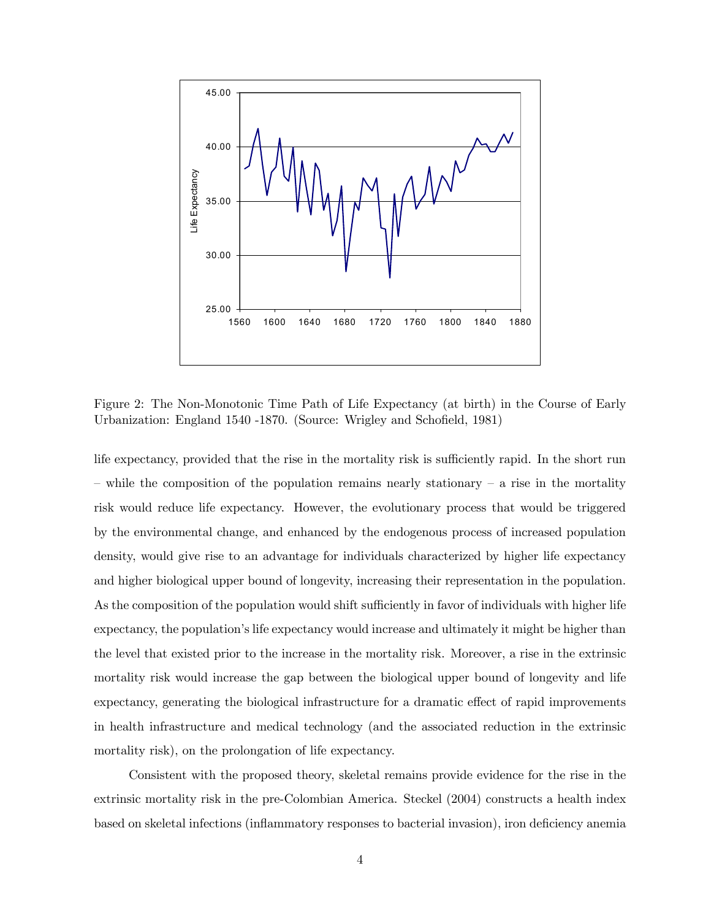

Figure 2: The Non-Monotonic Time Path of Life Expectancy (at birth) in the Course of Early Urbanization: England 1540 -1870. (Source: Wrigley and Schofield, 1981)

life expectancy, provided that the rise in the mortality risk is sufficiently rapid. In the short run  $-$  while the composition of the population remains nearly stationary  $-$  a rise in the mortality risk would reduce life expectancy. However, the evolutionary process that would be triggered by the environmental change, and enhanced by the endogenous process of increased population density, would give rise to an advantage for individuals characterized by higher life expectancy and higher biological upper bound of longevity, increasing their representation in the population. As the composition of the population would shift sufficiently in favor of individuals with higher life expectancy, the population's life expectancy would increase and ultimately it might be higher than the level that existed prior to the increase in the mortality risk. Moreover, a rise in the extrinsic mortality risk would increase the gap between the biological upper bound of longevity and life expectancy, generating the biological infrastructure for a dramatic effect of rapid improvements in health infrastructure and medical technology (and the associated reduction in the extrinsic mortality risk), on the prolongation of life expectancy.

Consistent with the proposed theory, skeletal remains provide evidence for the rise in the extrinsic mortality risk in the pre-Colombian America. Steckel (2004) constructs a health index based on skeletal infections (inflammatory responses to bacterial invasion), iron deficiency anemia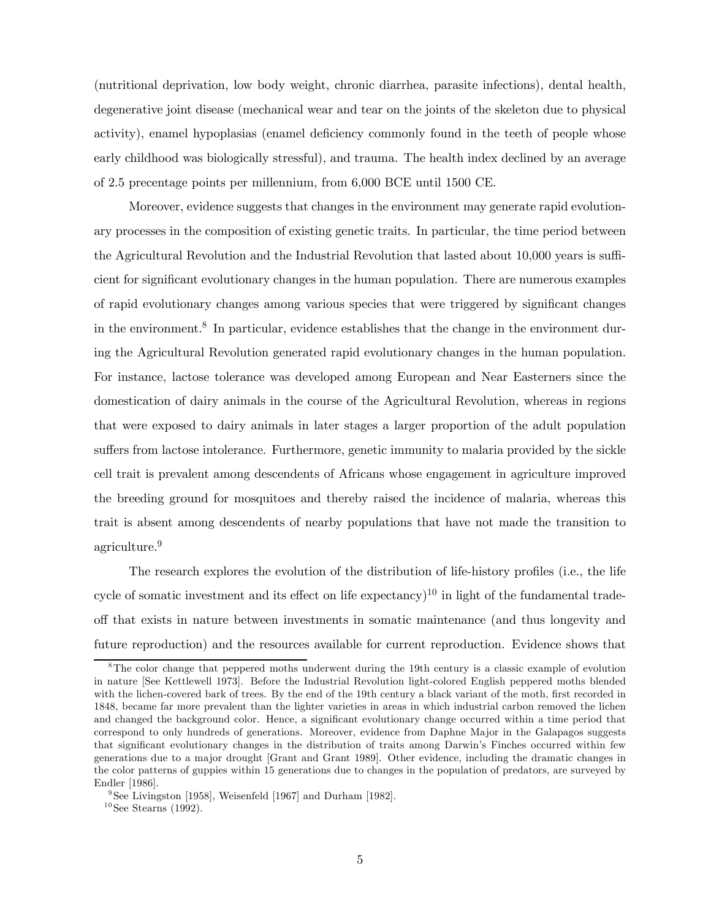(nutritional deprivation, low body weight, chronic diarrhea, parasite infections), dental health, degenerative joint disease (mechanical wear and tear on the joints of the skeleton due to physical activity), enamel hypoplasias (enamel deficiency commonly found in the teeth of people whose early childhood was biologically stressful), and trauma. The health index declined by an average of 2.5 precentage points per millennium, from 6,000 BCE until 1500 CE.

Moreover, evidence suggests that changes in the environment may generate rapid evolutionary processes in the composition of existing genetic traits. In particular, the time period between the Agricultural Revolution and the Industrial Revolution that lasted about 10,000 years is sufficient for significant evolutionary changes in the human population. There are numerous examples of rapid evolutionary changes among various species that were triggered by significant changes in the environment.<sup>8</sup> In particular, evidence establishes that the change in the environment during the Agricultural Revolution generated rapid evolutionary changes in the human population. For instance, lactose tolerance was developed among European and Near Easterners since the domestication of dairy animals in the course of the Agricultural Revolution, whereas in regions that were exposed to dairy animals in later stages a larger proportion of the adult population suffers from lactose intolerance. Furthermore, genetic immunity to malaria provided by the sickle cell trait is prevalent among descendents of Africans whose engagement in agriculture improved the breeding ground for mosquitoes and thereby raised the incidence of malaria, whereas this trait is absent among descendents of nearby populations that have not made the transition to agriculture.9

The research explores the evolution of the distribution of life-history profiles (i.e., the life cycle of somatic investment and its effect on life expectancy)<sup>10</sup> in light of the fundamental tradeoff that exists in nature between investments in somatic maintenance (and thus longevity and future reproduction) and the resources available for current reproduction. Evidence shows that

<sup>&</sup>lt;sup>8</sup>The color change that peppered moths underwent during the 19th century is a classic example of evolution in nature [See Kettlewell 1973]. Before the Industrial Revolution light-colored English peppered moths blended with the lichen-covered bark of trees. By the end of the 19th century a black variant of the moth, first recorded in 1848, became far more prevalent than the lighter varieties in areas in which industrial carbon removed the lichen and changed the background color. Hence, a significant evolutionary change occurred within a time period that correspond to only hundreds of generations. Moreover, evidence from Daphne Major in the Galapagos suggests that significant evolutionary changes in the distribution of traits among Darwin's Finches occurred within few generations due to a major drought [Grant and Grant 1989]. Other evidence, including the dramatic changes in the color patterns of guppies within 15 generations due to changes in the population of predators, are surveyed by Endler [1986].

 $9$ See Livingston [1958], Weisenfeld [1967] and Durham [1982].

 $10$  See Stearns (1992).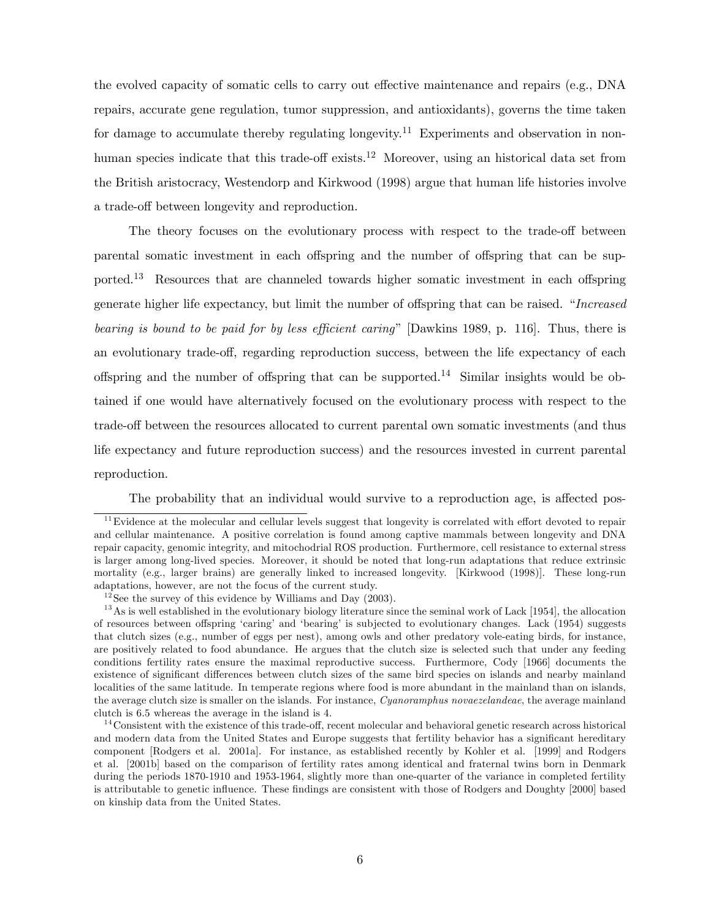the evolved capacity of somatic cells to carry out effective maintenance and repairs (e.g., DNA repairs, accurate gene regulation, tumor suppression, and antioxidants), governs the time taken for damage to accumulate thereby regulating longevity.<sup>11</sup> Experiments and observation in nonhuman species indicate that this trade-off exists.<sup>12</sup> Moreover, using an historical data set from the British aristocracy, Westendorp and Kirkwood (1998) argue that human life histories involve a trade-off between longevity and reproduction.

The theory focuses on the evolutionary process with respect to the trade-off between parental somatic investment in each offspring and the number of offspring that can be supported.<sup>13</sup> Resources that are channeled towards higher somatic investment in each offspring generate higher life expectancy, but limit the number of offspring that can be raised. "Increased bearing is bound to be paid for by less efficient caring" [Dawkins 1989, p. 116]. Thus, there is an evolutionary trade-off, regarding reproduction success, between the life expectancy of each offspring and the number of offspring that can be supported.<sup>14</sup> Similar insights would be obtained if one would have alternatively focused on the evolutionary process with respect to the trade-off between the resources allocated to current parental own somatic investments (and thus life expectancy and future reproduction success) and the resources invested in current parental reproduction.

The probability that an individual would survive to a reproduction age, is affected pos-

 $11$ Evidence at the molecular and cellular levels suggest that longevity is correlated with effort devoted to repair and cellular maintenance. A positive correlation is found among captive mammals between longevity and DNA repair capacity, genomic integrity, and mitochodrial ROS production. Furthermore, cell resistance to external stress is larger among long-lived species. Moreover, it should be noted that long-run adaptations that reduce extrinsic mortality (e.g., larger brains) are generally linked to increased longevity. [Kirkwood (1998)]. These long-run adaptations, however, are not the focus of the current study.

 $12$  See the survey of this evidence by Williams and Day (2003).

 $13$ As is well established in the evolutionary biology literature since the seminal work of Lack [1954], the allocation of resources between offspring 'caring' and 'bearing' is subjected to evolutionary changes. Lack (1954) suggests that clutch sizes (e.g., number of eggs per nest), among owls and other predatory vole-eating birds, for instance, are positively related to food abundance. He argues that the clutch size is selected such that under any feeding conditions fertility rates ensure the maximal reproductive success. Furthermore, Cody [1966] documents the existence of significant differences between clutch sizes of the same bird species on islands and nearby mainland localities of the same latitude. In temperate regions where food is more abundant in the mainland than on islands, the average clutch size is smaller on the islands. For instance, Cyanoramphus novaezelandeae, the average mainland clutch is 6.5 whereas the average in the island is 4.

 $14$ Consistent with the existence of this trade-off, recent molecular and behavioral genetic research across historical and modern data from the United States and Europe suggests that fertility behavior has a significant hereditary component [Rodgers et al. 2001a]. For instance, as established recently by Kohler et al. [1999] and Rodgers et al. [2001b] based on the comparison of fertility rates among identical and fraternal twins born in Denmark during the periods 1870-1910 and 1953-1964, slightly more than one-quarter of the variance in completed fertility is attributable to genetic influence. These findings are consistent with those of Rodgers and Doughty [2000] based on kinship data from the United States.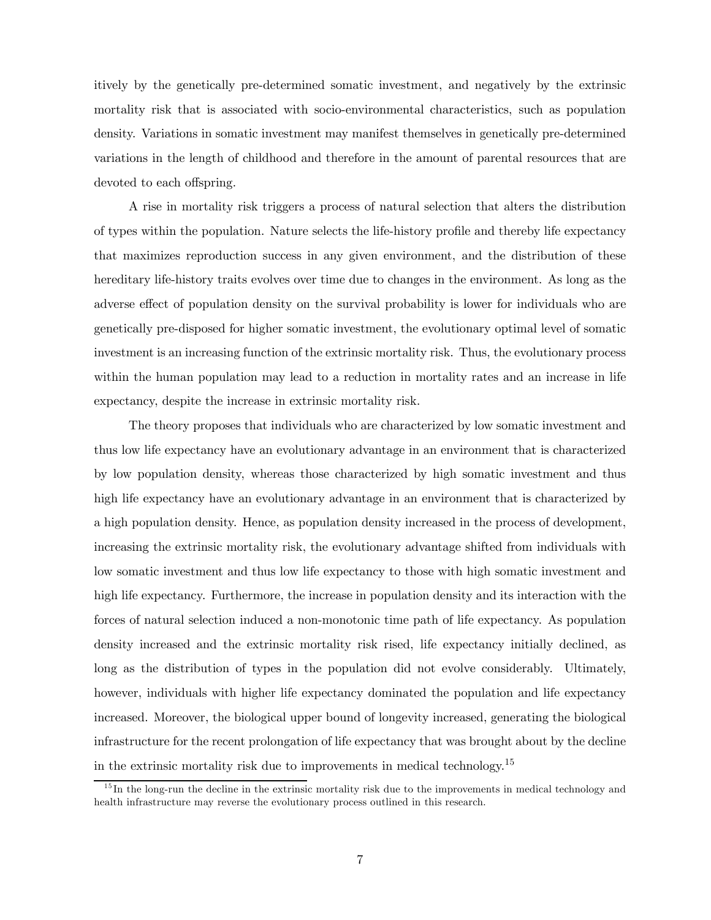itively by the genetically pre-determined somatic investment, and negatively by the extrinsic mortality risk that is associated with socio-environmental characteristics, such as population density. Variations in somatic investment may manifest themselves in genetically pre-determined variations in the length of childhood and therefore in the amount of parental resources that are devoted to each offspring.

A rise in mortality risk triggers a process of natural selection that alters the distribution of types within the population. Nature selects the life-history profile and thereby life expectancy that maximizes reproduction success in any given environment, and the distribution of these hereditary life-history traits evolves over time due to changes in the environment. As long as the adverse effect of population density on the survival probability is lower for individuals who are genetically pre-disposed for higher somatic investment, the evolutionary optimal level of somatic investment is an increasing function of the extrinsic mortality risk. Thus, the evolutionary process within the human population may lead to a reduction in mortality rates and an increase in life expectancy, despite the increase in extrinsic mortality risk.

The theory proposes that individuals who are characterized by low somatic investment and thus low life expectancy have an evolutionary advantage in an environment that is characterized by low population density, whereas those characterized by high somatic investment and thus high life expectancy have an evolutionary advantage in an environment that is characterized by a high population density. Hence, as population density increased in the process of development, increasing the extrinsic mortality risk, the evolutionary advantage shifted from individuals with low somatic investment and thus low life expectancy to those with high somatic investment and high life expectancy. Furthermore, the increase in population density and its interaction with the forces of natural selection induced a non-monotonic time path of life expectancy. As population density increased and the extrinsic mortality risk rised, life expectancy initially declined, as long as the distribution of types in the population did not evolve considerably. Ultimately, however, individuals with higher life expectancy dominated the population and life expectancy increased. Moreover, the biological upper bound of longevity increased, generating the biological infrastructure for the recent prolongation of life expectancy that was brought about by the decline in the extrinsic mortality risk due to improvements in medical technology.<sup>15</sup>

 $15$  In the long-run the decline in the extrinsic mortality risk due to the improvements in medical technology and health infrastructure may reverse the evolutionary process outlined in this research.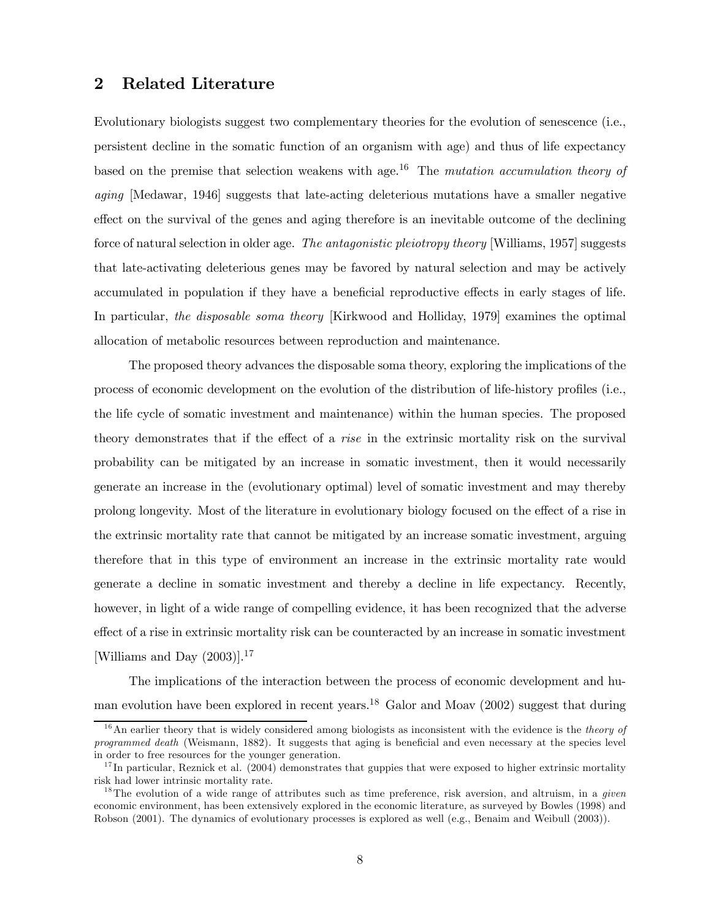## 2 Related Literature

Evolutionary biologists suggest two complementary theories for the evolution of senescence (i.e., persistent decline in the somatic function of an organism with age) and thus of life expectancy based on the premise that selection weakens with age.<sup>16</sup> The *mutation accumulation theory of* aging [Medawar, 1946] suggests that late-acting deleterious mutations have a smaller negative effect on the survival of the genes and aging therefore is an inevitable outcome of the declining force of natural selection in older age. The antagonistic pleiotropy theory [Williams, 1957] suggests that late-activating deleterious genes may be favored by natural selection and may be actively accumulated in population if they have a beneficial reproductive effects in early stages of life. In particular, the disposable soma theory [Kirkwood and Holliday, 1979] examines the optimal allocation of metabolic resources between reproduction and maintenance.

The proposed theory advances the disposable soma theory, exploring the implications of the process of economic development on the evolution of the distribution of life-history profiles (i.e., the life cycle of somatic investment and maintenance) within the human species. The proposed theory demonstrates that if the effect of a rise in the extrinsic mortality risk on the survival probability can be mitigated by an increase in somatic investment, then it would necessarily generate an increase in the (evolutionary optimal) level of somatic investment and may thereby prolong longevity. Most of the literature in evolutionary biology focused on the effect of a rise in the extrinsic mortality rate that cannot be mitigated by an increase somatic investment, arguing therefore that in this type of environment an increase in the extrinsic mortality rate would generate a decline in somatic investment and thereby a decline in life expectancy. Recently, however, in light of a wide range of compelling evidence, it has been recognized that the adverse effect of a rise in extrinsic mortality risk can be counteracted by an increase in somatic investment [Williams and Day  $(2003)$ ].<sup>17</sup>

The implications of the interaction between the process of economic development and human evolution have been explored in recent years.<sup>18</sup> Galor and Moav  $(2002)$  suggest that during

 $16$ An earlier theory that is widely considered among biologists as inconsistent with the evidence is the theory of programmed death (Weismann, 1882). It suggests that aging is beneficial and even necessary at the species level in order to free resources for the younger generation.

 $17$  In particular, Reznick et al. (2004) demonstrates that guppies that were exposed to higher extrinsic mortality risk had lower intrinsic mortality rate.

<sup>&</sup>lt;sup>18</sup>The evolution of a wide range of attributes such as time preference, risk aversion, and altruism, in a *given* economic environment, has been extensively explored in the economic literature, as surveyed by Bowles (1998) and Robson (2001). The dynamics of evolutionary processes is explored as well (e.g., Benaim and Weibull (2003)).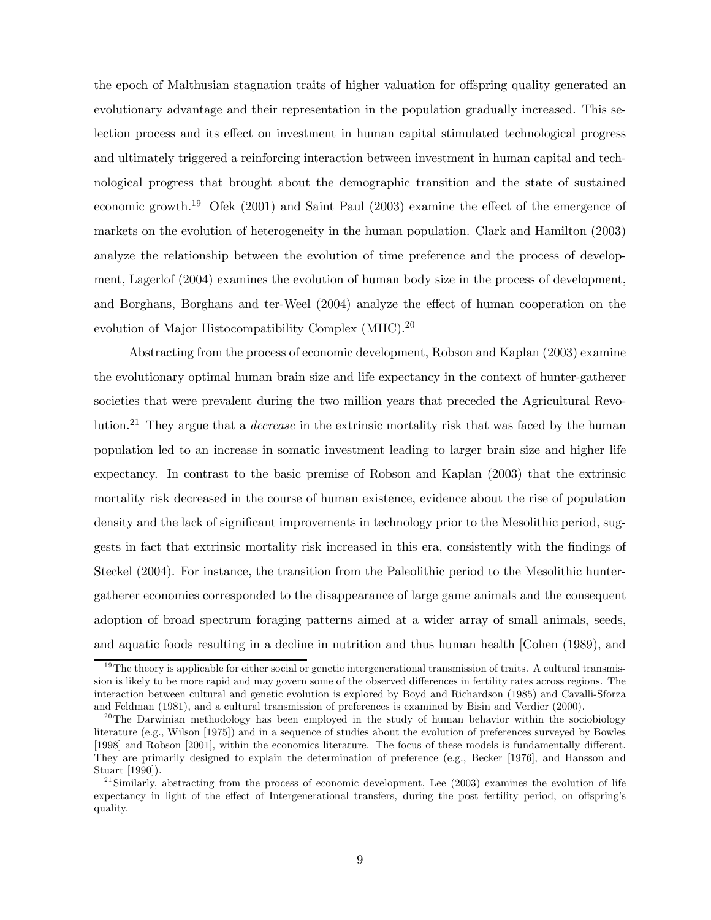the epoch of Malthusian stagnation traits of higher valuation for offspring quality generated an evolutionary advantage and their representation in the population gradually increased. This selection process and its effect on investment in human capital stimulated technological progress and ultimately triggered a reinforcing interaction between investment in human capital and technological progress that brought about the demographic transition and the state of sustained economic growth.19 Ofek (2001) and Saint Paul (2003) examine the effect of the emergence of markets on the evolution of heterogeneity in the human population. Clark and Hamilton (2003) analyze the relationship between the evolution of time preference and the process of development, Lagerlof (2004) examines the evolution of human body size in the process of development, and Borghans, Borghans and ter-Weel (2004) analyze the effect of human cooperation on the evolution of Major Histocompatibility Complex (MHC).<sup>20</sup>

Abstracting from the process of economic development, Robson and Kaplan (2003) examine the evolutionary optimal human brain size and life expectancy in the context of hunter-gatherer societies that were prevalent during the two million years that preceded the Agricultural Revolution.<sup>21</sup> They argue that a *decrease* in the extrinsic mortality risk that was faced by the human population led to an increase in somatic investment leading to larger brain size and higher life expectancy. In contrast to the basic premise of Robson and Kaplan (2003) that the extrinsic mortality risk decreased in the course of human existence, evidence about the rise of population density and the lack of significant improvements in technology prior to the Mesolithic period, suggests in fact that extrinsic mortality risk increased in this era, consistently with the findings of Steckel (2004). For instance, the transition from the Paleolithic period to the Mesolithic huntergatherer economies corresponded to the disappearance of large game animals and the consequent adoption of broad spectrum foraging patterns aimed at a wider array of small animals, seeds, and aquatic foods resulting in a decline in nutrition and thus human health [Cohen (1989), and

 $19$ The theory is applicable for either social or genetic intergenerational transmission of traits. A cultural transmission is likely to be more rapid and may govern some of the observed differences in fertility rates across regions. The interaction between cultural and genetic evolution is explored by Boyd and Richardson (1985) and Cavalli-Sforza and Feldman (1981), and a cultural transmission of preferences is examined by Bisin and Verdier (2000).

<sup>&</sup>lt;sup>20</sup>The Darwinian methodology has been employed in the study of human behavior within the sociobiology literature (e.g., Wilson [1975]) and in a sequence of studies about the evolution of preferences surveyed by Bowles [1998] and Robson [2001], within the economics literature. The focus of these models is fundamentally different. They are primarily designed to explain the determination of preference (e.g., Becker [1976], and Hansson and Stuart [1990]).

 $^{21}$ Similarly, abstracting from the process of economic development, Lee (2003) examines the evolution of life expectancy in light of the effect of Intergenerational transfers, during the post fertility period, on offspring's quality.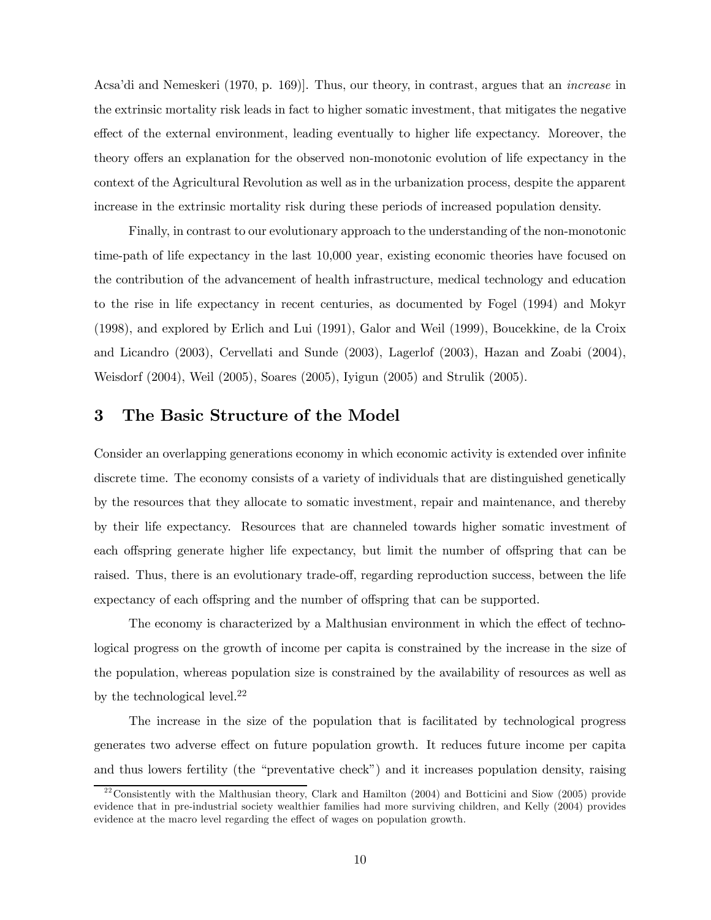Acsa'di and Nemeskeri (1970, p. 169)]. Thus, our theory, in contrast, argues that an increase in the extrinsic mortality risk leads in fact to higher somatic investment, that mitigates the negative effect of the external environment, leading eventually to higher life expectancy. Moreover, the theory offers an explanation for the observed non-monotonic evolution of life expectancy in the context of the Agricultural Revolution as well as in the urbanization process, despite the apparent increase in the extrinsic mortality risk during these periods of increased population density.

Finally, in contrast to our evolutionary approach to the understanding of the non-monotonic time-path of life expectancy in the last 10,000 year, existing economic theories have focused on the contribution of the advancement of health infrastructure, medical technology and education to the rise in life expectancy in recent centuries, as documented by Fogel (1994) and Mokyr (1998), and explored by Erlich and Lui (1991), Galor and Weil (1999), Boucekkine, de la Croix and Licandro (2003), Cervellati and Sunde (2003), Lagerlof (2003), Hazan and Zoabi (2004), Weisdorf (2004), Weil (2005), Soares (2005), Iyigun (2005) and Strulik (2005).

## 3 The Basic Structure of the Model

Consider an overlapping generations economy in which economic activity is extended over infinite discrete time. The economy consists of a variety of individuals that are distinguished genetically by the resources that they allocate to somatic investment, repair and maintenance, and thereby by their life expectancy. Resources that are channeled towards higher somatic investment of each offspring generate higher life expectancy, but limit the number of offspring that can be raised. Thus, there is an evolutionary trade-off, regarding reproduction success, between the life expectancy of each offspring and the number of offspring that can be supported.

The economy is characterized by a Malthusian environment in which the effect of technological progress on the growth of income per capita is constrained by the increase in the size of the population, whereas population size is constrained by the availability of resources as well as by the technological level. $^{22}$ 

The increase in the size of the population that is facilitated by technological progress generates two adverse effect on future population growth. It reduces future income per capita and thus lowers fertility (the "preventative check") and it increases population density, raising

 $^{22}$ Consistently with the Malthusian theory, Clark and Hamilton (2004) and Botticini and Siow (2005) provide evidence that in pre-industrial society wealthier families had more surviving children, and Kelly (2004) provides evidence at the macro level regarding the effect of wages on population growth.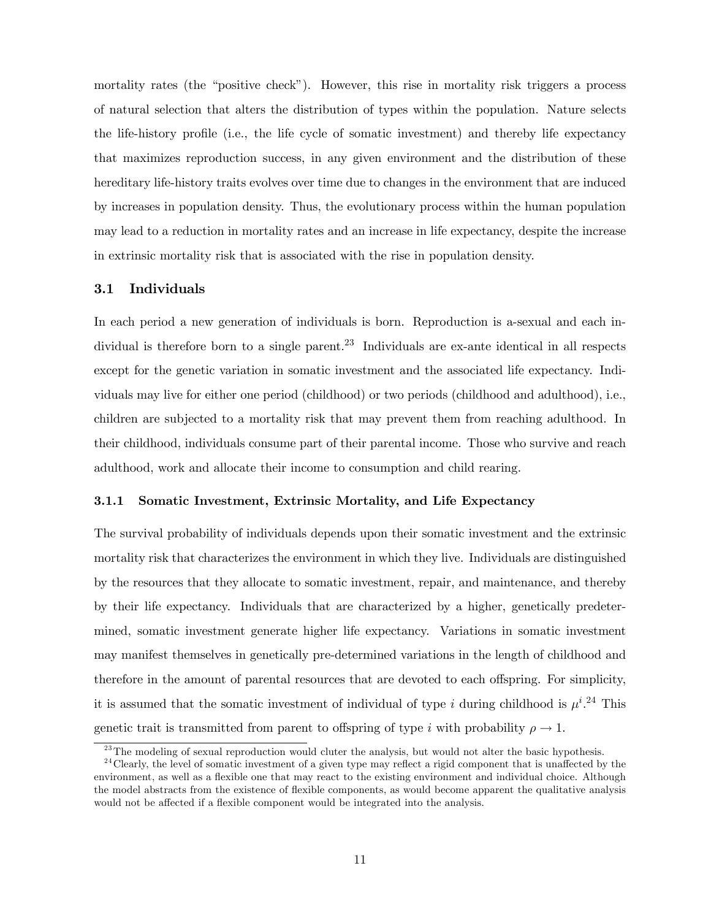mortality rates (the "positive check"). However, this rise in mortality risk triggers a process of natural selection that alters the distribution of types within the population. Nature selects the life-history profile (i.e., the life cycle of somatic investment) and thereby life expectancy that maximizes reproduction success, in any given environment and the distribution of these hereditary life-history traits evolves over time due to changes in the environment that are induced by increases in population density. Thus, the evolutionary process within the human population may lead to a reduction in mortality rates and an increase in life expectancy, despite the increase in extrinsic mortality risk that is associated with the rise in population density.

#### 3.1 Individuals

In each period a new generation of individuals is born. Reproduction is a-sexual and each individual is therefore born to a single parent.<sup>23</sup> Individuals are ex-ante identical in all respects except for the genetic variation in somatic investment and the associated life expectancy. Individuals may live for either one period (childhood) or two periods (childhood and adulthood), i.e., children are subjected to a mortality risk that may prevent them from reaching adulthood. In their childhood, individuals consume part of their parental income. Those who survive and reach adulthood, work and allocate their income to consumption and child rearing.

#### 3.1.1 Somatic Investment, Extrinsic Mortality, and Life Expectancy

The survival probability of individuals depends upon their somatic investment and the extrinsic mortality risk that characterizes the environment in which they live. Individuals are distinguished by the resources that they allocate to somatic investment, repair, and maintenance, and thereby by their life expectancy. Individuals that are characterized by a higher, genetically predetermined, somatic investment generate higher life expectancy. Variations in somatic investment may manifest themselves in genetically pre-determined variations in the length of childhood and therefore in the amount of parental resources that are devoted to each offspring. For simplicity, it is assumed that the somatic investment of individual of type i during childhood is  $\mu^{i}$ .<sup>24</sup> This genetic trait is transmitted from parent to offspring of type i with probability  $\rho \to 1$ .

 $^{23}$ The modeling of sexual reproduction would cluter the analysis, but would not alter the basic hypothesis.

 $24$ Clearly, the level of somatic investment of a given type may reflect a rigid component that is unaffected by the environment, as well as a flexible one that may react to the existing environment and individual choice. Although the model abstracts from the existence of flexible components, as would become apparent the qualitative analysis would not be affected if a flexible component would be integrated into the analysis.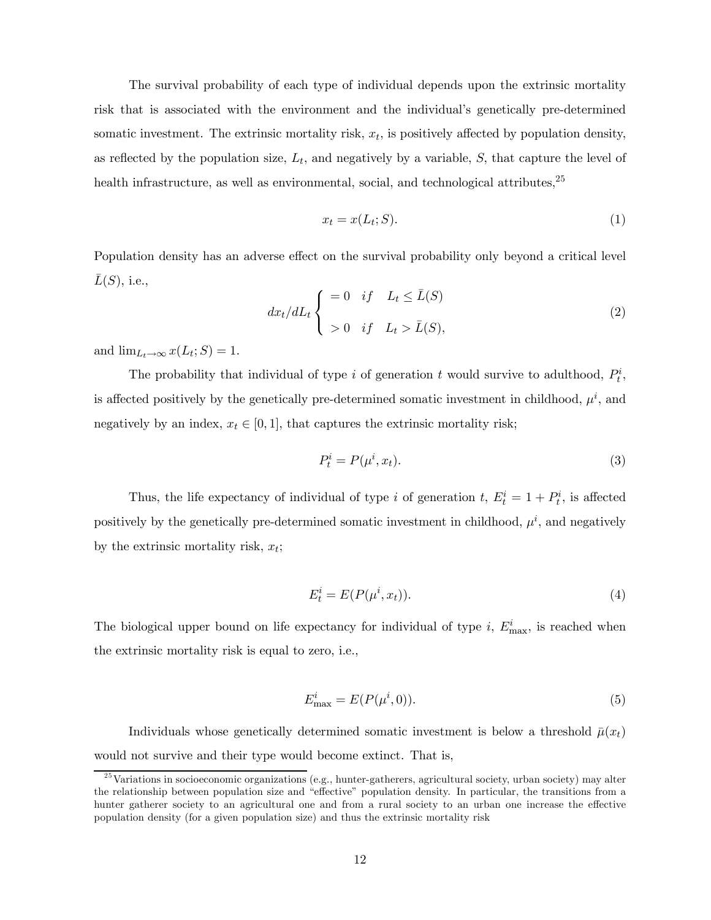The survival probability of each type of individual depends upon the extrinsic mortality risk that is associated with the environment and the individual's genetically pre-determined somatic investment. The extrinsic mortality risk,  $x_t$ , is positively affected by population density, as reflected by the population size,  $L_t$ , and negatively by a variable,  $S$ , that capture the level of health infrastructure, as well as environmental, social, and technological attributes,<sup>25</sup>

$$
x_t = x(L_t; S). \tag{1}
$$

Population density has an adverse effect on the survival probability only beyond a critical level  $\bar{L}(S)$ , i.e.,

$$
dx_t/dL_t \begin{cases} = 0 & if \quad L_t \le \bar{L}(S) \\ > 0 & if \quad L_t > \bar{L}(S), \end{cases}
$$
 (2)

and  $\lim_{L_t\to\infty}x(L_t;S)=1$ .

The probability that individual of type i of generation t would survive to adulthood,  $P_t^i$ , is affected positively by the genetically pre-determined somatic investment in childhood,  $\mu^{i}$ , and negatively by an index,  $x_t \in [0, 1]$ , that captures the extrinsic mortality risk;

$$
P_t^i = P(\mu^i, x_t). \tag{3}
$$

Thus, the life expectancy of individual of type *i* of generation *t*,  $E_t^i = 1 + P_t^i$ , is affected positively by the genetically pre-determined somatic investment in childhood,  $\mu^{i}$ , and negatively by the extrinsic mortality risk,  $x_t$ ;

$$
E_t^i = E(P(\mu^i, x_t)).
$$
\n(4)

The biological upper bound on life expectancy for individual of type i,  $E_{\text{max}}^i$ , is reached when the extrinsic mortality risk is equal to zero, i.e.,

$$
E_{\text{max}}^i = E(P(\mu^i, 0)).\tag{5}
$$

Individuals whose genetically determined somatic investment is below a threshold  $\bar{\mu}(x_t)$ would not survive and their type would become extinct. That is,

 $25$ Variations in socioeconomic organizations (e.g., hunter-gatherers, agricultural society, urban society) may alter the relationship between population size and "effective" population density. In particular, the transitions from a hunter gatherer society to an agricultural one and from a rural society to an urban one increase the effective population density (for a given population size) and thus the extrinsic mortality risk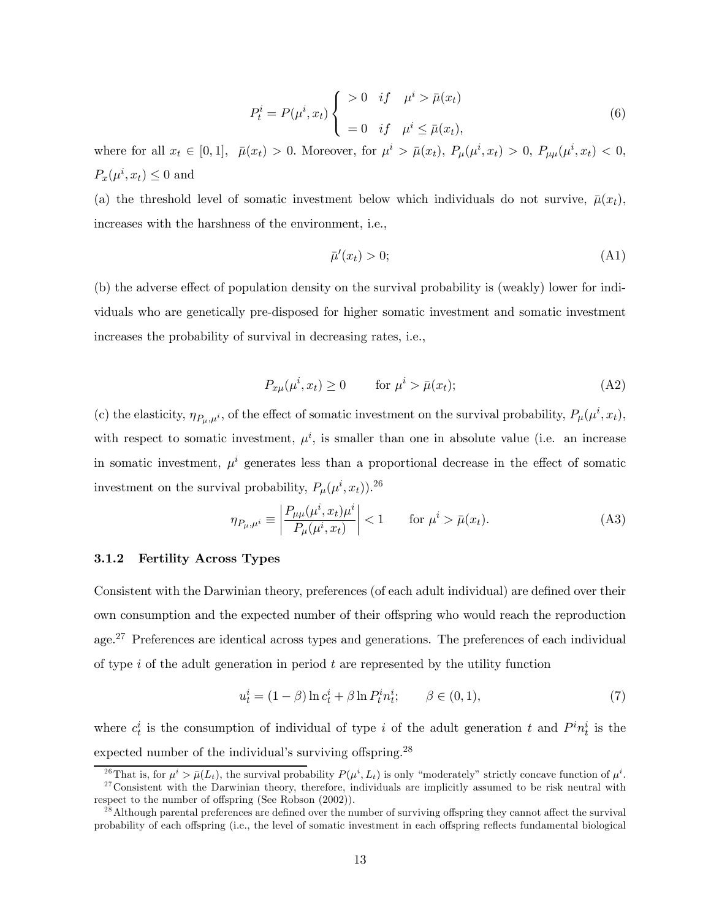$$
P_t^i = P(\mu^i, x_t) \begin{cases} > 0 \quad \text{if} \quad \mu^i > \bar{\mu}(x_t) \\ & = 0 \quad \text{if} \quad \mu^i \le \bar{\mu}(x_t), \end{cases} \tag{6}
$$

where for all  $x_t \in [0,1]$ ,  $\bar{\mu}(x_t) > 0$ . Moreover, for  $\mu^i > \bar{\mu}(x_t)$ ,  $P_{\mu}(\mu^i, x_t) > 0$ ,  $P_{\mu\mu}(\mu^i, x_t) < 0$ ,  $P_x(\mu^i, x_t) \leq 0$  and

(a) the threshold level of somatic investment below which individuals do not survive,  $\bar{\mu}(x_t)$ , increases with the harshness of the environment, i.e.,

$$
\bar{\mu}'(x_t) > 0; \tag{A1}
$$

(b) the adverse effect of population density on the survival probability is (weakly) lower for individuals who are genetically pre-disposed for higher somatic investment and somatic investment increases the probability of survival in decreasing rates, i.e.,

$$
P_{x\mu}(\mu^i, x_t) \ge 0 \qquad \text{for } \mu^i > \bar{\mu}(x_t); \tag{A2}
$$

(c) the elasticity,  $\eta_{P_\mu,\mu^i}$ , of the effect of somatic investment on the survival probability,  $P_\mu(\mu^i, x_t)$ , with respect to somatic investment,  $\mu^{i}$ , is smaller than one in absolute value (i.e. an increase in somatic investment,  $\mu^{i}$  generates less than a proportional decrease in the effect of somatic investment on the survival probability,  $P_{\mu}(\mu^i, x_t)$ .<sup>26</sup>

$$
\eta_{P_{\mu},\mu^{i}} \equiv \left| \frac{P_{\mu\mu}(\mu^{i}, x_{t})\mu^{i}}{P_{\mu}(\mu^{i}, x_{t})} \right| < 1 \qquad \text{for } \mu^{i} > \bar{\mu}(x_{t}). \tag{A3}
$$

#### 3.1.2 Fertility Across Types

Consistent with the Darwinian theory, preferences (of each adult individual) are defined over their own consumption and the expected number of their offspring who would reach the reproduction age.<sup>27</sup> Preferences are identical across types and generations. The preferences of each individual of type  $i$  of the adult generation in period  $t$  are represented by the utility function

$$
u_t^i = (1 - \beta) \ln c_t^i + \beta \ln P_t^i n_t^i; \qquad \beta \in (0, 1), \tag{7}
$$

where  $c_t^i$  is the consumption of individual of type i of the adult generation t and  $P^i n_t^i$  is the expected number of the individual's surviving offspring.28

<sup>26</sup>That is, for  $\mu^i > \bar{\mu}(L_t)$ , the survival probability  $P(\mu^i, L_t)$  is only "moderately" strictly concave function of  $\mu^i$ .

<sup>&</sup>lt;sup>27</sup> Consistent with the Darwinian theory, therefore, individuals are implicitly assumed to be risk neutral with respect to the number of offspring (See Robson (2002)).

 $^{28}$  Although parental preferences are defined over the number of surviving offspring they cannot affect the survival probability of each offspring (i.e., the level of somatic investment in each offspring reflects fundamental biological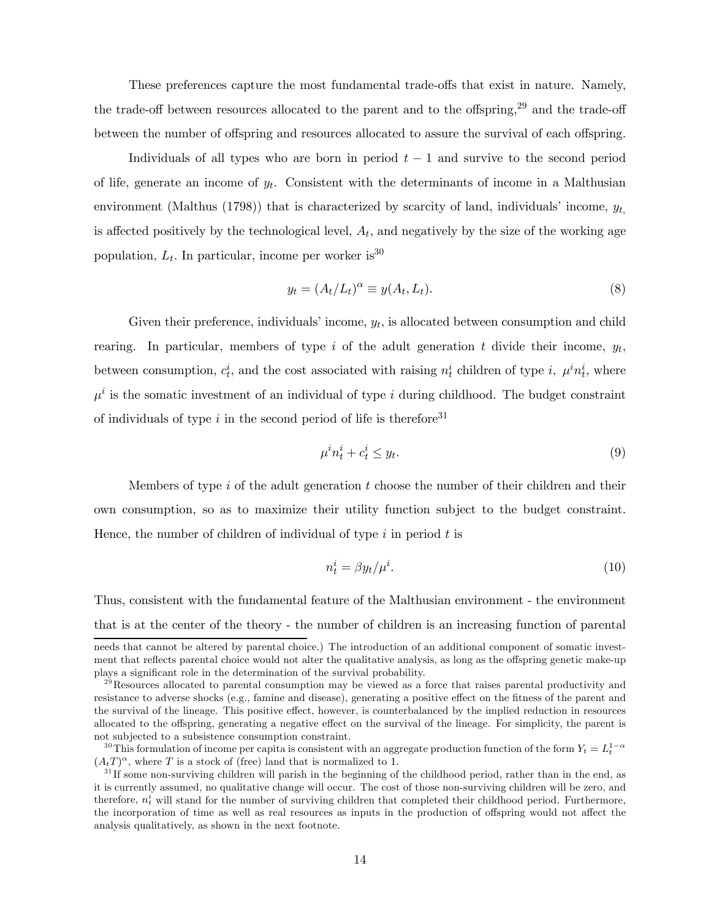These preferences capture the most fundamental trade-offs that exist in nature. Namely, the trade-off between resources allocated to the parent and to the offspring,<sup>29</sup> and the trade-off between the number of offspring and resources allocated to assure the survival of each offspring.

Individuals of all types who are born in period  $t - 1$  and survive to the second period of life, generate an income of  $y_t$ . Consistent with the determinants of income in a Malthusian environment (Malthus (1798)) that is characterized by scarcity of land, individuals' income,  $y_t$ is affected positively by the technological level,  $A_t$ , and negatively by the size of the working age population,  $L_t$ . In particular, income per worker is<sup>30</sup>

$$
y_t = (A_t/L_t)^\alpha \equiv y(A_t, L_t). \tag{8}
$$

Given their preference, individuals' income,  $y_t$ , is allocated between consumption and child rearing. In particular, members of type i of the adult generation t divide their income,  $y_t$ , between consumption,  $c_t^i$ , and the cost associated with raising  $n_t^i$  children of type i,  $\mu^i n_t^i$ , where  $\mu^{i}$  is the somatic investment of an individual of type i during childhood. The budget constraint of individuals of type i in the second period of life is therefore<sup>31</sup>

$$
\mu^i n_t^i + c_t^i \le y_t. \tag{9}
$$

Members of type  $i$  of the adult generation  $t$  choose the number of their children and their own consumption, so as to maximize their utility function subject to the budget constraint. Hence, the number of children of individual of type  $i$  in period  $t$  is

$$
n_t^i = \beta y_t / \mu^i. \tag{10}
$$

Thus, consistent with the fundamental feature of the Malthusian environment - the environment that is at the center of the theory - the number of children is an increasing function of parental

needs that cannot be altered by parental choice.) The introduction of an additional component of somatic investment that reflects parental choice would not alter the qualitative analysis, as long as the offspring genetic make-up plays a significant role in the determination of the survival probability.

 $^{29}$ Resources allocated to parental consumption may be viewed as a force that raises parental productivity and resistance to adverse shocks (e.g., famine and disease), generating a positive effect on the fitness of the parent and the survival of the lineage. This positive effect, however, is counterbalanced by the implied reduction in resources allocated to the offspring, generating a negative effect on the survival of the lineage. For simplicity, the parent is not subjected to a subsistence consumption constraint.

<sup>&</sup>lt;sup>30</sup>This formulation of income per capita is consistent with an aggregate production function of the form  $Y_t = L_t^{1-\alpha}$  $(A_tT)^{\alpha}$ , where T is a stock of (free) land that is normalized to 1.

 $3<sup>1</sup>$  If some non-surviving children will parish in the beginning of the childhood period, rather than in the end, as it is currently assumed, no qualitative change will occur. The cost of those non-surviving children will be zero, and therefore,  $n_t^i$  will stand for the number of surviving children that completed their childhood period. Furthermore, the incorporation of time as well as real resources as inputs in the production of offspring would not affect the analysis qualitatively, as shown in the next footnote.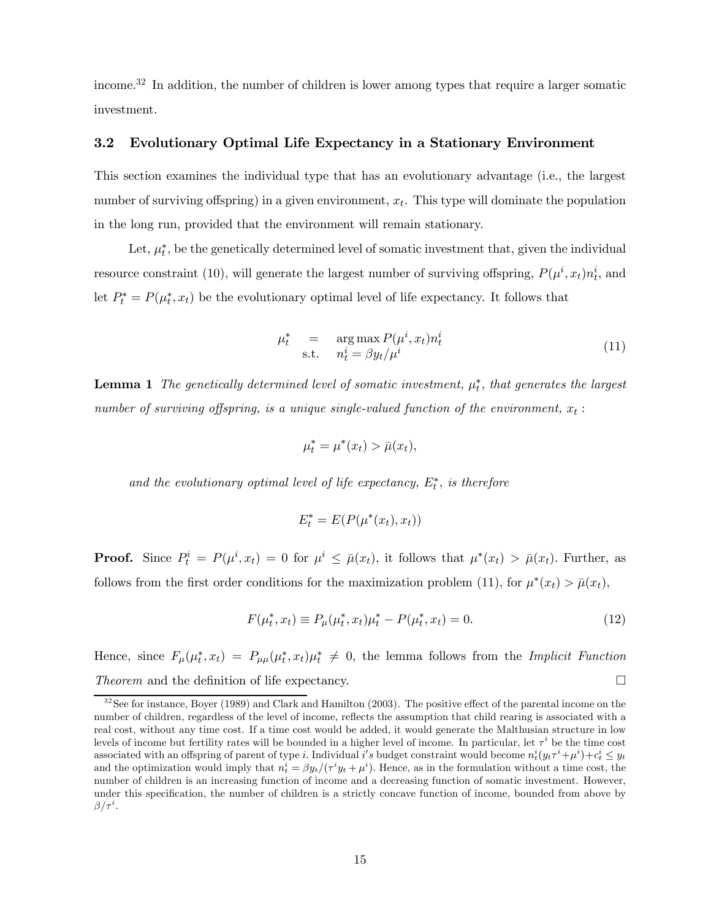income.32 In addition, the number of children is lower among types that require a larger somatic investment.

#### 3.2 Evolutionary Optimal Life Expectancy in a Stationary Environment

This section examines the individual type that has an evolutionary advantage (i.e., the largest number of surviving offspring) in a given environment,  $x_t$ . This type will dominate the population in the long run, provided that the environment will remain stationary.

Let,  $\mu_t^*$ , be the genetically determined level of somatic investment that, given the individual resource constraint (10), will generate the largest number of surviving offspring,  $P(\mu^i, x_t) n_t^i$ , and let  $P_t^* = P(\mu_t^*, x_t)$  be the evolutionary optimal level of life expectancy. It follows that

$$
\mu_t^* = \underset{\text{s.t.}}{\arg \max} P(\mu^i, x_t) n_t^i
$$
\n
$$
\mu_t^* = \beta y_t / \mu^i
$$
\n(11)

**Lemma 1** The genetically determined level of somatic investment,  $\mu_t^*$ , that generates the largest number of surviving offspring, is a unique single-valued function of the environment,  $x_t$ :

$$
\mu_t^* = \mu^*(x_t) > \bar{\mu}(x_t),
$$

and the evolutionary optimal level of life expectancy,  $E_t^*$ , is therefore

$$
E_t^* = E(P(\mu^*(x_t), x_t))
$$

**Proof.** Since  $P_t^i = P(\mu^i, x_t) = 0$  for  $\mu^i \leq \bar{\mu}(x_t)$ , it follows that  $\mu^*(x_t) > \bar{\mu}(x_t)$ . Further, as follows from the first order conditions for the maximization problem (11), for  $\mu^*(x_t) > \bar{\mu}(x_t)$ ,

$$
F(\mu_t^*, x_t) \equiv P_\mu(\mu_t^*, x_t)\mu_t^* - P(\mu_t^*, x_t) = 0.
$$
\n(12)

Hence, since  $F_{\mu}(\mu_t^*, x_t) = P_{\mu\mu}(\mu_t^*, x_t) \mu_t^* \neq 0$ , the lemma follows from the *Implicit Function* Theorem and the definition of life expectancy.  $\Box$ 

 $32$  See for instance, Boyer (1989) and Clark and Hamilton (2003). The positive effect of the parental income on the number of children, regardless of the level of income, reflects the assumption that child rearing is associated with a real cost, without any time cost. If a time cost would be added, it would generate the Malthusian structure in low levels of income but fertility rates will be bounded in a higher level of income. In particular, let  $\tau^i$  be the time cost associated with an offspring of parent of type *i*. Individual i's budget constraint would become  $n_t^i(y_t\tau^i + \mu^i) + c_t^i \leq y_t$ and the optimization would imply that  $n_t^i = \beta y_t/(\tau^i y_t + \mu^i)$ . Hence, as in the formulation without a time cost, the number of children is an increasing function of income and a decreasing function of somatic investment. However, under this specification, the number of children is a strictly concave function of income, bounded from above by  $\beta/\tau^i.$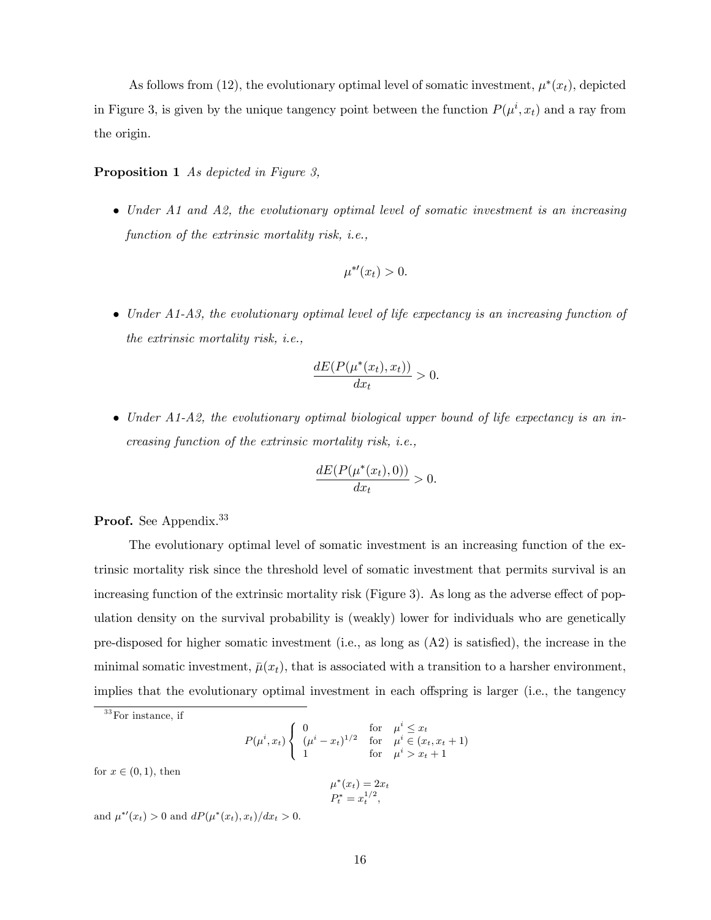As follows from (12), the evolutionary optimal level of somatic investment,  $\mu^*(x_t)$ , depicted in Figure 3, is given by the unique tangency point between the function  $P(\mu^i, x_t)$  and a ray from the origin.

Proposition 1 As depicted in Figure 3,

• Under A1 and A2, the evolutionary optimal level of somatic investment is an increasing function of the extrinsic mortality risk, i.e.,

$$
\mu^{*'}(x_t) > 0.
$$

• Under A1-A3, the evolutionary optimal level of life expectancy is an increasing function of the extrinsic mortality risk, i.e.,

$$
\frac{dE(P(\mu^*(x_t), x_t))}{dx_t} > 0.
$$

• Under A1-A2, the evolutionary optimal biological upper bound of life expectancy is an increasing function of the extrinsic mortality risk, i.e.,

$$
\frac{dE(P(\mu^*(x_t),0))}{dx_t} > 0.
$$

Proof. See Appendix.<sup>33</sup>

The evolutionary optimal level of somatic investment is an increasing function of the extrinsic mortality risk since the threshold level of somatic investment that permits survival is an increasing function of the extrinsic mortality risk (Figure 3). As long as the adverse effect of population density on the survival probability is (weakly) lower for individuals who are genetically pre-disposed for higher somatic investment (i.e., as long as  $(A2)$ ) is satisfied), the increase in the minimal somatic investment,  $\bar{\mu}(x_t)$ , that is associated with a transition to a harsher environment, implies that the evolutionary optimal investment in each offspring is larger (i.e., the tangency

$$
P(\mu^i, x_t) \begin{cases} 0 & \text{for } \mu^i \leq x_t \\ (\mu^i - x_t)^{1/2} & \text{for } \mu^i \in (x_t, x_t + 1) \\ 1 & \text{for } \mu^i > x_t + 1 \end{cases}
$$

for  $x \in (0,1)$ , then

$$
\mu^*(x_t) = 2x_t
$$
  

$$
P_t^* = x_t^{1/2},
$$

and  $\mu^{*'}(x_t) > 0$  and  $dP(\mu^{*}(x_t), x_t)/dx_t > 0$ .

 $33$ For instance, if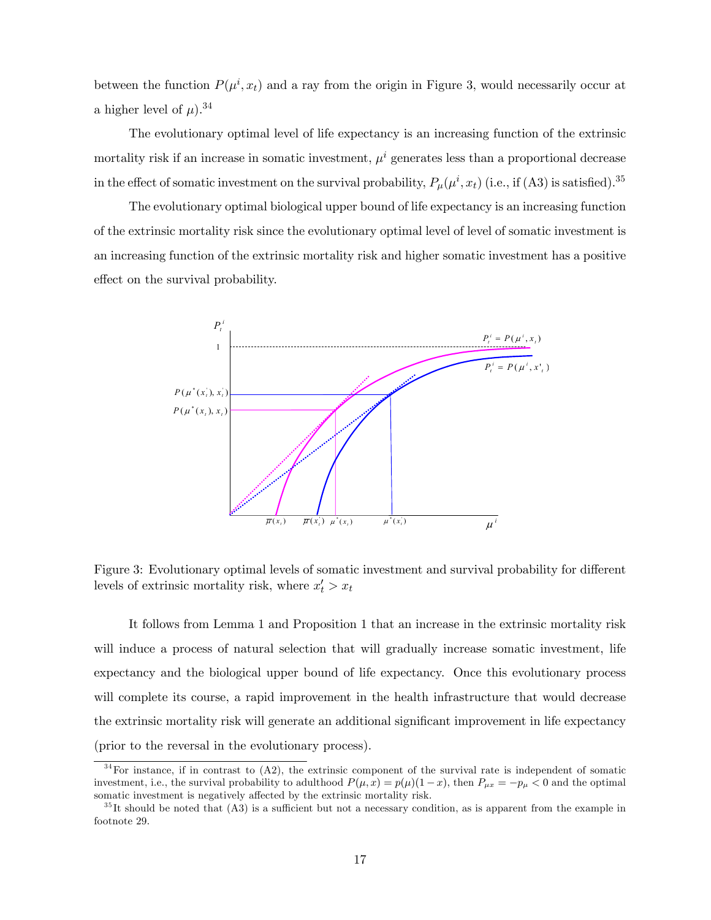between the function  $P(\mu^i, x_t)$  and a ray from the origin in Figure 3, would necessarily occur at a higher level of  $\mu$ ).<sup>34</sup>

The evolutionary optimal level of life expectancy is an increasing function of the extrinsic mortality risk if an increase in somatic investment,  $\mu^{i}$  generates less than a proportional decrease in the effect of somatic investment on the survival probability,  $P_{\mu}(\mu^i, x_t)$  (i.e., if (A3) is satisfied).<sup>35</sup>

The evolutionary optimal biological upper bound of life expectancy is an increasing function of the extrinsic mortality risk since the evolutionary optimal level of level of somatic investment is an increasing function of the extrinsic mortality risk and higher somatic investment has a positive effect on the survival probability.



Figure 3: Evolutionary optimal levels of somatic investment and survival probability for different levels of extrinsic mortality risk, where  $x'_t > x_t$ 

It follows from Lemma 1 and Proposition 1 that an increase in the extrinsic mortality risk will induce a process of natural selection that will gradually increase somatic investment, life expectancy and the biological upper bound of life expectancy. Once this evolutionary process will complete its course, a rapid improvement in the health infrastructure that would decrease the extrinsic mortality risk will generate an additional significant improvement in life expectancy (prior to the reversal in the evolutionary process).

 $34$ For instance, if in contrast to  $(A2)$ , the extrinsic component of the survival rate is independent of somatic investment, i.e., the survival probability to adulthood  $P(\mu, x) = p(\mu)(1-x)$ , then  $P_{\mu x} = -p_{\mu} < 0$  and the optimal somatic investment is negatively affected by the extrinsic mortality risk.

 $35$ It should be noted that (A3) is a sufficient but not a necessary condition, as is apparent from the example in footnote 29.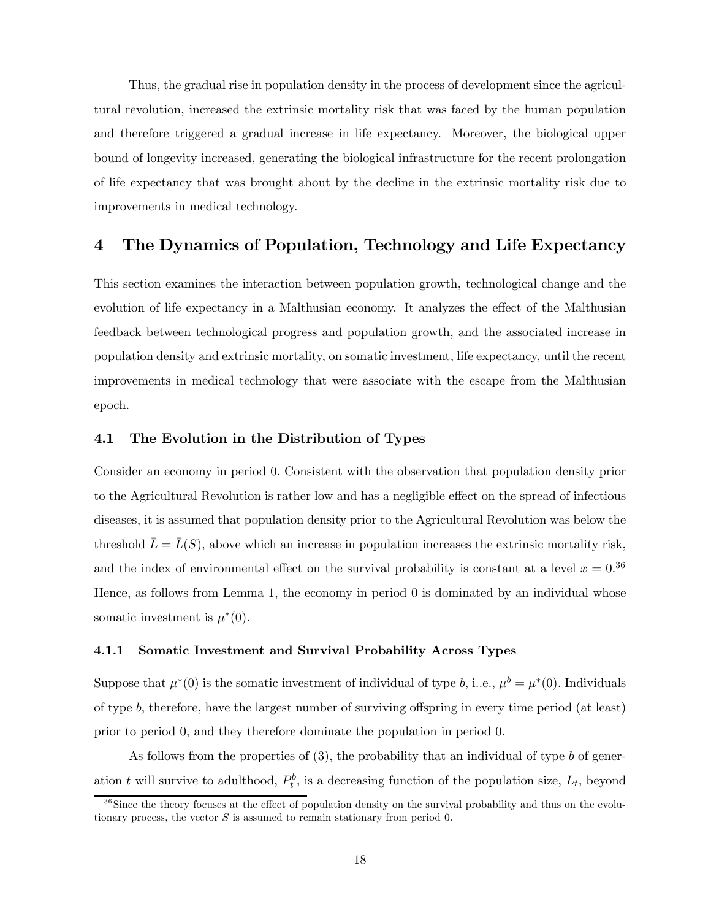Thus, the gradual rise in population density in the process of development since the agricultural revolution, increased the extrinsic mortality risk that was faced by the human population and therefore triggered a gradual increase in life expectancy. Moreover, the biological upper bound of longevity increased, generating the biological infrastructure for the recent prolongation of life expectancy that was brought about by the decline in the extrinsic mortality risk due to improvements in medical technology.

## 4 The Dynamics of Population, Technology and Life Expectancy

This section examines the interaction between population growth, technological change and the evolution of life expectancy in a Malthusian economy. It analyzes the effect of the Malthusian feedback between technological progress and population growth, and the associated increase in population density and extrinsic mortality, on somatic investment, life expectancy, until the recent improvements in medical technology that were associate with the escape from the Malthusian epoch.

#### 4.1 The Evolution in the Distribution of Types

Consider an economy in period 0. Consistent with the observation that population density prior to the Agricultural Revolution is rather low and has a negligible effect on the spread of infectious diseases, it is assumed that population density prior to the Agricultural Revolution was below the threshold  $\bar{L} = \bar{L}(S)$ , above which an increase in population increases the extrinsic mortality risk, and the index of environmental effect on the survival probability is constant at a level  $x = 0.36$ Hence, as follows from Lemma 1, the economy in period 0 is dominated by an individual whose somatic investment is  $\mu^*(0)$ .

#### 4.1.1 Somatic Investment and Survival Probability Across Types

Suppose that  $\mu^*(0)$  is the somatic investment of individual of type b, i..e.,  $\mu^b = \mu^*(0)$ . Individuals of type b, therefore, have the largest number of surviving offspring in every time period (at least) prior to period 0, and they therefore dominate the population in period 0.

As follows from the properties of  $(3)$ , the probability that an individual of type b of generation t will survive to adulthood,  $P_t^b$ , is a decreasing function of the population size,  $L_t$ , beyond

 $36$ Since the theory focuses at the effect of population density on the survival probability and thus on the evolutionary process, the vector  $S$  is assumed to remain stationary from period 0.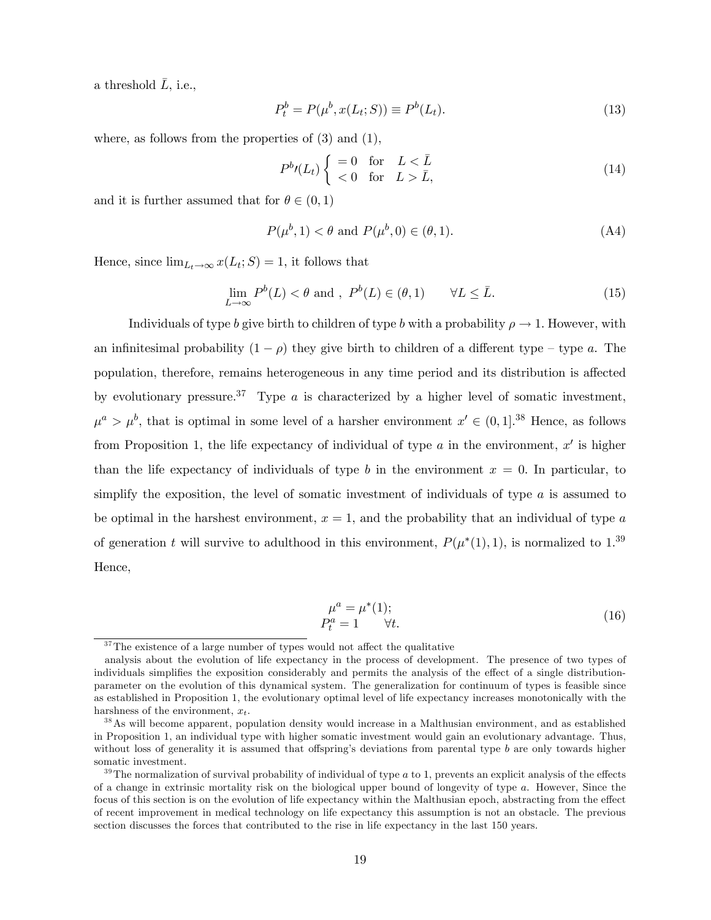a threshold  $\overline{L}$ , i.e.,

$$
P_t^b = P(\mu^b, x(L_t; S)) \equiv P^b(L_t).
$$
\n(13)

where, as follows from the properties of (3) and (1),

$$
P^{b}I(L_{t})\begin{cases}\n=0 & \text{for } L < \bar{L} \\
< 0 & \text{for } L > \bar{L},\n\end{cases}
$$
\n(14)

and it is further assumed that for  $\theta \in (0,1)$ 

$$
P(\mu^b, 1) < \theta \text{ and } P(\mu^b, 0) \in (\theta, 1). \tag{A4}
$$

Hence, since  $\lim_{L_t\to\infty} x(L_t;S)=1$ , it follows that

$$
\lim_{L \to \infty} P^b(L) < \theta \text{ and }, P^b(L) \in (\theta, 1) \qquad \forall L \le \bar{L}.\tag{15}
$$

Individuals of type b give birth to children of type b with a probability  $\rho \to 1$ . However, with an infinitesimal probability  $(1 - \rho)$  they give birth to children of a different type – type a. The population, therefore, remains heterogeneous in any time period and its distribution is affected by evolutionary pressure.<sup>37</sup> Type a is characterized by a higher level of somatic investment,  $\mu^a > \mu^b$ , that is optimal in some level of a harsher environment  $x' \in (0, 1]$ .<sup>38</sup> Hence, as follows from Proposition 1, the life expectancy of individual of type  $\alpha$  in the environment,  $x'$  is higher than the life expectancy of individuals of type b in the environment  $x = 0$ . In particular, to simplify the exposition, the level of somatic investment of individuals of type  $a$  is assumed to be optimal in the harshest environment,  $x = 1$ , and the probability that an individual of type  $a$ of generation t will survive to adulthood in this environment,  $P(\mu^*(1), 1)$ , is normalized to 1.<sup>39</sup> Hence,

$$
\mu^{a} = \mu^{*}(1);
$$
  
\n
$$
P_{t}^{a} = 1 \quad \forall t.
$$
\n(16)

 $37$ The existence of a large number of types would not affect the qualitative

analysis about the evolution of life expectancy in the process of development. The presence of two types of individuals simplifies the exposition considerably and permits the analysis of the effect of a single distributionparameter on the evolution of this dynamical system. The generalization for continuum of types is feasible since as established in Proposition 1, the evolutionary optimal level of life expectancy increases monotonically with the harshness of the environment,  $x_t$ .

<sup>&</sup>lt;sup>38</sup>As will become apparent, population density would increase in a Malthusian environment, and as established in Proposition 1, an individual type with higher somatic investment would gain an evolutionary advantage. Thus, without loss of generality it is assumed that offspring's deviations from parental type b are only towards higher somatic investment.

<sup>&</sup>lt;sup>39</sup>The normalization of survival probability of individual of type  $a$  to 1, prevents an explicit analysis of the effects of a change in extrinsic mortality risk on the biological upper bound of longevity of type a. However, Since the focus of this section is on the evolution of life expectancy within the Malthusian epoch, abstracting from the effect of recent improvement in medical technology on life expectancy this assumption is not an obstacle. The previous section discusses the forces that contributed to the rise in life expectancy in the last 150 years.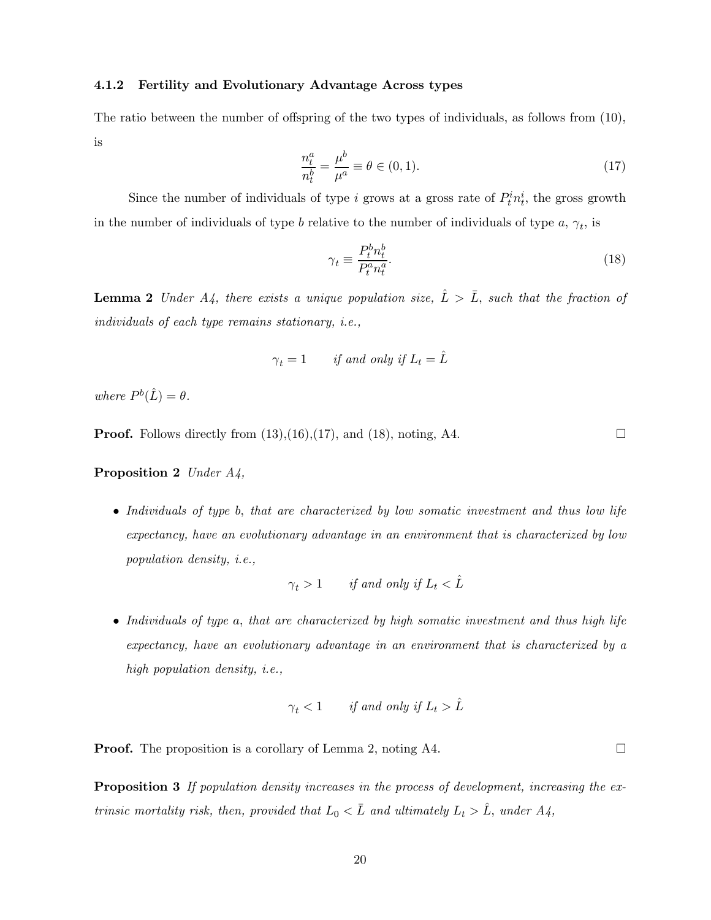#### 4.1.2 Fertility and Evolutionary Advantage Across types

The ratio between the number of offspring of the two types of individuals, as follows from (10), is

$$
\frac{n_t^a}{n_t^b} = \frac{\mu^b}{\mu^a} \equiv \theta \in (0, 1). \tag{17}
$$

Since the number of individuals of type i grows at a gross rate of  $P_t^i n_t^i$ , the gross growth in the number of individuals of type b relative to the number of individuals of type  $a, \gamma_t$ , is

$$
\gamma_t \equiv \frac{P_t^b n_t^b}{P_t^a n_t^a}.\tag{18}
$$

**Lemma 2** Under A4, there exists a unique population size,  $\hat{L} > \bar{L}$ , such that the fraction of individuals of each type remains stationary, i.e.,

$$
\gamma_t = 1 \qquad \text{if and only if } L_t = \hat{L}
$$

where  $P^b(\hat{L}) = \theta$ .

**Proof.** Follows directly from  $(13),(16),(17)$ , and  $(18)$ , noting, A4.

#### Proposition 2 Under  $A_4$ ,

• Individuals of type b, that are characterized by low somatic investment and thus low life expectancy, have an evolutionary advantage in an environment that is characterized by low population density, i.e.,

$$
\gamma_t > 1 \qquad \text{if and only if } L_t < \hat{L}
$$

• Individuals of type a, that are characterized by high somatic investment and thus high life expectancy, have an evolutionary advantage in an environment that is characterized by a high population density, i.e.,

$$
\gamma_t < 1 \qquad \text{if and only if } L_t > \hat{L}
$$

**Proof.** The proposition is a corollary of Lemma 2, noting A4.  $\Box$ 

**Proposition 3** If population density increases in the process of development, increasing the extrinsic mortality risk, then, provided that  $L_0 < \bar{L}$  and ultimately  $L_t > \hat{L}$ , under  $A_4$ ,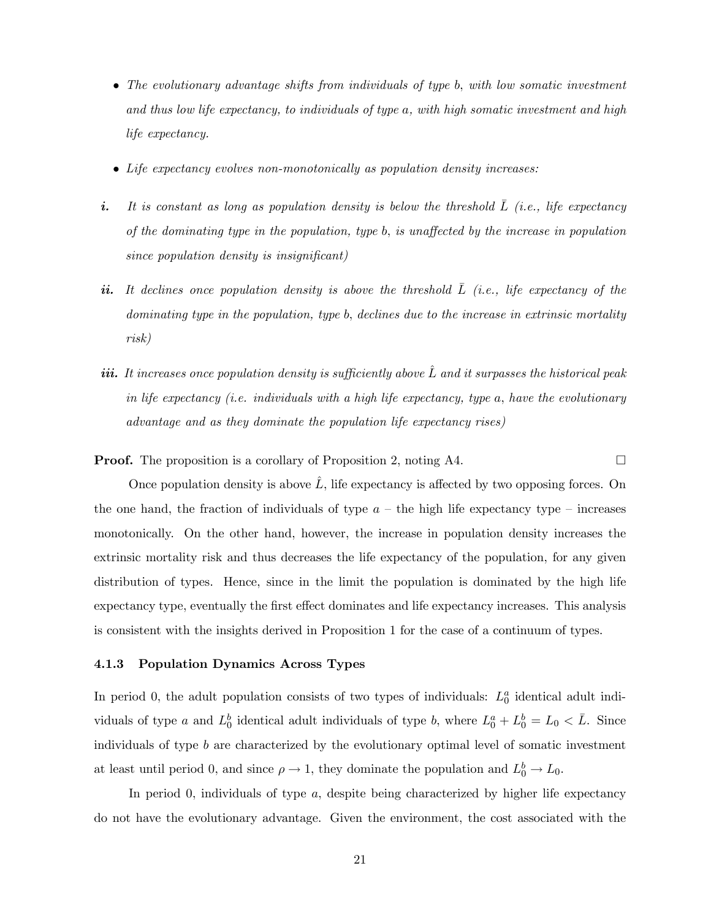- The evolutionary advantage shifts from individuals of type b, with low somatic investment and thus low life expectancy, to individuals of type a, with high somatic investment and high life expectancy.
- Life expectancy evolves non-monotonically as population density increases:
- i. It is constant as long as population density is below the threshold  $\overline{L}$  (i.e., life expectancy of the dominating type in the population, type b, is unaffected by the increase in population since population density is insignificant)
- ii. It declines once population density is above the threshold  $\overline{L}$  (i.e., life expectancy of the dominating type in the population, type b, declines due to the increase in extrinsic mortality risk)
- iii. It increases once population density is sufficiently above  $\hat{L}$  and it surpasses the historical peak in life expectancy (i.e. individuals with a high life expectancy, type  $a$ , have the evolutionary advantage and as they dominate the population life expectancy rises)

**Proof.** The proposition is a corollary of Proposition 2, noting A4.  $\Box$ 

Once population density is above  $\tilde{L}$ , life expectancy is affected by two opposing forces. On the one hand, the fraction of individuals of type  $a$  – the high life expectancy type – increases monotonically. On the other hand, however, the increase in population density increases the extrinsic mortality risk and thus decreases the life expectancy of the population, for any given distribution of types. Hence, since in the limit the population is dominated by the high life expectancy type, eventually the first effect dominates and life expectancy increases. This analysis is consistent with the insights derived in Proposition 1 for the case of a continuum of types.

#### 4.1.3 Population Dynamics Across Types

In period 0, the adult population consists of two types of individuals:  $L_0^a$  identical adult individuals of type a and  $L_0^b$  identical adult individuals of type b, where  $L_0^a + L_0^b = L_0 < \overline{L}$ . Since individuals of type b are characterized by the evolutionary optimal level of somatic investment at least until period 0, and since  $\rho \to 1$ , they dominate the population and  $L_0^b \to L_0$ .

In period 0, individuals of type a, despite being characterized by higher life expectancy do not have the evolutionary advantage. Given the environment, the cost associated with the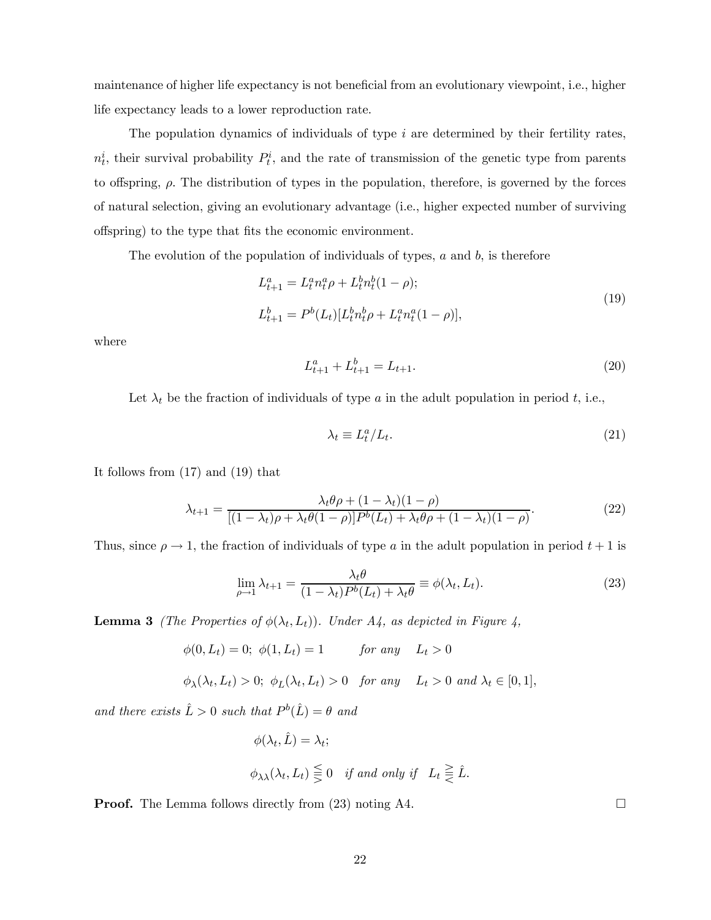maintenance of higher life expectancy is not beneficial from an evolutionary viewpoint, i.e., higher life expectancy leads to a lower reproduction rate.

The population dynamics of individuals of type  $i$  are determined by their fertility rates,  $n_t^i$ , their survival probability  $P_t^i$ , and the rate of transmission of the genetic type from parents to offspring,  $\rho$ . The distribution of types in the population, therefore, is governed by the forces of natural selection, giving an evolutionary advantage (i.e., higher expected number of surviving offspring) to the type that fits the economic environment.

The evolution of the population of individuals of types,  $a$  and  $b$ , is therefore

$$
L_{t+1}^a = L_t^a n_t^a \rho + L_t^b n_t^b (1 - \rho);
$$
  
\n
$$
L_{t+1}^b = P^b (L_t) [L_t^b n_t^b \rho + L_t^a n_t^a (1 - \rho)],
$$
\n(19)

where

$$
L_{t+1}^a + L_{t+1}^b = L_{t+1}.\tag{20}
$$

Let  $\lambda_t$  be the fraction of individuals of type a in the adult population in period t, i.e.,

$$
\lambda_t \equiv L_t^a / L_t. \tag{21}
$$

It follows from (17) and (19) that

$$
\lambda_{t+1} = \frac{\lambda_t \theta \rho + (1 - \lambda_t)(1 - \rho)}{[(1 - \lambda_t)\rho + \lambda_t \theta (1 - \rho)] P^b(L_t) + \lambda_t \theta \rho + (1 - \lambda_t)(1 - \rho)}.
$$
\n(22)

Thus, since  $\rho \rightarrow 1$ , the fraction of individuals of type a in the adult population in period  $t + 1$  is

$$
\lim_{\rho \to 1} \lambda_{t+1} = \frac{\lambda_t \theta}{(1 - \lambda_t) P^b(L_t) + \lambda_t \theta} \equiv \phi(\lambda_t, L_t). \tag{23}
$$

**Lemma 3** (The Properties of  $\phi(\lambda_t, L_t)$ ). Under A4, as depicted in Figure 4,

$$
\phi(0, L_t) = 0; \ \phi(1, L_t) = 1
$$
 for any  $L_t > 0$ 

$$
\phi_{\lambda}(\lambda_t, L_t) > 0; \ \phi_L(\lambda_t, L_t) > 0 \quad \text{for any} \quad L_t > 0 \ \text{and} \ \lambda_t \in [0, 1],
$$

and there exists  $\hat{L} > 0$  such that  $P^b(\hat{L}) = \theta$  and

$$
\phi(\lambda_t, \hat{L}) = \lambda_t;
$$
  

$$
\phi_{\lambda\lambda}(\lambda_t, L_t) \leq 0 \quad \text{if and only if} \quad L_t \geq \hat{L}.
$$

**Proof.** The Lemma follows directly from  $(23)$  noting A4.  $\Box$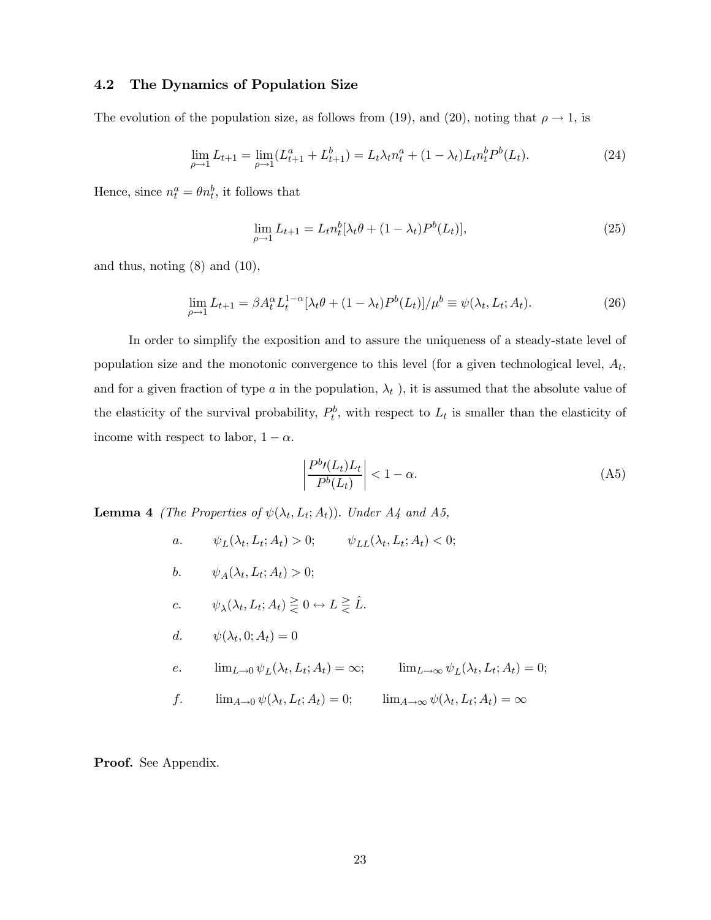#### 4.2 The Dynamics of Population Size

The evolution of the population size, as follows from (19), and (20), noting that  $\rho \to 1$ , is

$$
\lim_{\rho \to 1} L_{t+1} = \lim_{\rho \to 1} (L_{t+1}^a + L_{t+1}^b) = L_t \lambda_t n_t^a + (1 - \lambda_t) L_t n_t^b P^b(L_t).
$$
\n(24)

Hence, since  $n_t^a = \theta n_t^b$ , it follows that

$$
\lim_{\rho \to 1} L_{t+1} = L_t n_t^b [\lambda_t \theta + (1 - \lambda_t) P^b(L_t)],
$$
\n(25)

and thus, noting  $(8)$  and  $(10)$ ,

$$
\lim_{\rho \to 1} L_{t+1} = \beta A_t^{\alpha} L_t^{1-\alpha} [\lambda_t \theta + (1 - \lambda_t) P^b(L_t)] / \mu^b \equiv \psi(\lambda_t, L_t; A_t).
$$
\n(26)

In order to simplify the exposition and to assure the uniqueness of a steady-state level of population size and the monotonic convergence to this level (for a given technological level,  $A_t$ , and for a given fraction of type a in the population,  $\lambda_t$ , it is assumed that the absolute value of the elasticity of the survival probability,  $P_t^b$ , with respect to  $L_t$  is smaller than the elasticity of income with respect to labor,  $1 - \alpha$ .

$$
\left|\frac{P^{b}\prime(L_{t})L_{t}}{P^{b}(L_{t})}\right| < 1 - \alpha.\tag{A5}
$$

**Lemma 4** (The Properties of  $\psi(\lambda_t, L_t; A_t)$ ). Under  $A_4$  and  $A_5$ ,

a.  $\psi_L(\lambda_t, L_t; A_t) > 0; \qquad \psi_{LL}(\lambda_t, L_t; A_t) < 0;$ b.  $\psi_A(\lambda_t, L_t; A_t) > 0;$ c.  $\psi_{\lambda}(\lambda_t, L_t; A_t) \geq 0 \leftrightarrow L \geq \hat{L}.$ d.  $\psi(\lambda_t, 0; A_t)=0$ e.  $\lim_{L\to 0} \psi_L(\lambda_t, L_t; A_t) = \infty;$   $\lim_{L\to\infty} \psi_L(\lambda_t, L_t; A_t) = 0;$ f.  $\lim_{A\to 0} \psi(\lambda_t, L_t; A_t) = 0;$   $\lim_{A\to\infty} \psi(\lambda_t, L_t; A_t) = \infty$ 

Proof. See Appendix.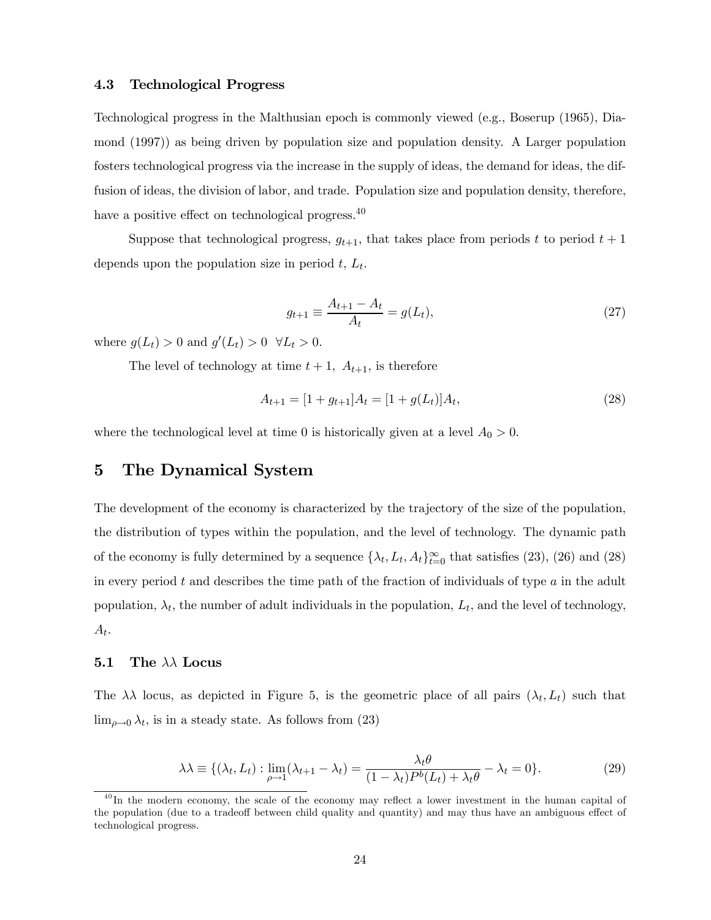#### 4.3 Technological Progress

Technological progress in the Malthusian epoch is commonly viewed (e.g., Boserup (1965), Diamond (1997)) as being driven by population size and population density. A Larger population fosters technological progress via the increase in the supply of ideas, the demand for ideas, the diffusion of ideas, the division of labor, and trade. Population size and population density, therefore, have a positive effect on technological progress.<sup>40</sup>

Suppose that technological progress,  $g_{t+1}$ , that takes place from periods t to period  $t+1$ depends upon the population size in period  $t, L_t$ .

$$
g_{t+1} \equiv \frac{A_{t+1} - A_t}{A_t} = g(L_t),
$$
\n(27)

where  $g(L_t) > 0$  and  $g'(L_t) > 0 \quad \forall L_t > 0$ .

The level of technology at time  $t + 1$ ,  $A_{t+1}$ , is therefore

$$
A_{t+1} = [1 + g_{t+1}]A_t = [1 + g(L_t)]A_t,
$$
\n(28)

where the technological level at time 0 is historically given at a level  $A_0 > 0$ .

## 5 The Dynamical System

The development of the economy is characterized by the trajectory of the size of the population, the distribution of types within the population, and the level of technology. The dynamic path of the economy is fully determined by a sequence  $\{\lambda_t, L_t, A_t\}_{t=0}^{\infty}$  that satisfies (23), (26) and (28) in every period t and describes the time path of the fraction of individuals of type  $a$  in the adult population,  $\lambda_t$ , the number of adult individuals in the population,  $L_t$ , and the level of technology,  $A_t$ .

#### **5.1** The  $\lambda\lambda$  Locus

The  $\lambda\lambda$  locus, as depicted in Figure 5, is the geometric place of all pairs  $(\lambda_t, L_t)$  such that  $\lim_{\rho \to 0} \lambda_t$ , is in a steady state. As follows from (23)

$$
\lambda \lambda \equiv \{ (\lambda_t, L_t) : \lim_{\rho \to 1} (\lambda_{t+1} - \lambda_t) = \frac{\lambda_t \theta}{(1 - \lambda_t) P^b(L_t) + \lambda_t \theta} - \lambda_t = 0 \}.
$$
 (29)

 $^{40}$ In the modern economy, the scale of the economy may reflect a lower investment in the human capital of the population (due to a tradeoff between child quality and quantity) and may thus have an ambiguous effect of technological progress.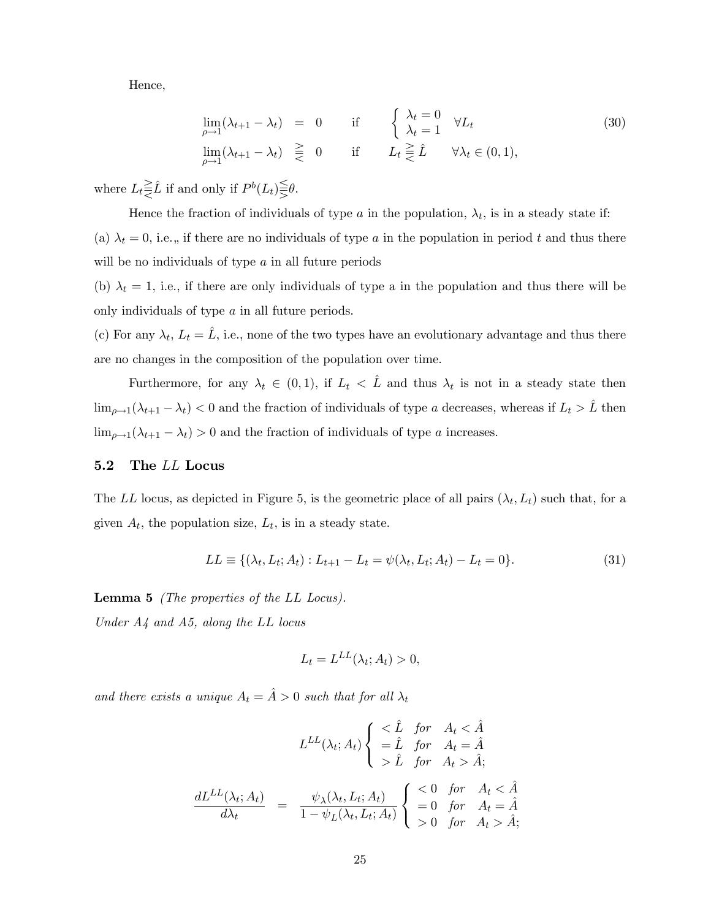Hence,

$$
\lim_{\rho \to 1} (\lambda_{t+1} - \lambda_t) = 0 \quad \text{if} \quad \begin{cases} \lambda_t = 0 \\ \lambda_t = 1 \end{cases} \forall L_t
$$
\n
$$
\lim_{\rho \to 1} (\lambda_{t+1} - \lambda_t) \geq 0 \quad \text{if} \quad L_t \geq \hat{L} \quad \forall \lambda_t \in (0, 1),
$$
\n(30)

where  $L_t \geq \hat{L}$  if and only if  $P^b(L_t) \leq \theta$ .

Hence the fraction of individuals of type a in the population,  $\lambda_t$ , is in a steady state if: (a)  $\lambda_t = 0$ , i.e., if there are no individuals of type a in the population in period t and thus there will be no individuals of type  $a$  in all future periods

(b)  $\lambda_t = 1$ , i.e., if there are only individuals of type a in the population and thus there will be only individuals of type a in all future periods.

(c) For any  $\lambda_t$ ,  $L_t = \tilde{L}$ , i.e., none of the two types have an evolutionary advantage and thus there are no changes in the composition of the population over time.

Furthermore, for any  $\lambda_t \in (0,1)$ , if  $L_t < L$  and thus  $\lambda_t$  is not in a steady state then  $\lim_{\rho \to 1} (\lambda_{t+1} - \lambda_t) < 0$  and the fraction of individuals of type a decreases, whereas if  $L_t > L$  then  $\lim_{\rho \to 1} (\lambda_{t+1} - \lambda_t) > 0$  and the fraction of individuals of type a increases.

#### 5.2 The LL Locus

The LL locus, as depicted in Figure 5, is the geometric place of all pairs  $(\lambda_t, L_t)$  such that, for a given  $A_t$ , the population size,  $L_t$ , is in a steady state.

$$
LL \equiv \{ (\lambda_t, L_t; A_t) : L_{t+1} - L_t = \psi(\lambda_t, L_t; A_t) - L_t = 0 \}.
$$
\n(31)

Lemma 5 (The properties of the LL Locus).

Under  $A_4$  and  $A_5$ , along the LL locus

$$
L_t = L^{LL}(\lambda_t; A_t) > 0,
$$

and there exists a unique  $A_t = \hat{A} > 0$  such that for all  $\lambda_t$ 

$$
L^{LL}(\lambda_t; A_t) \begin{cases} < \hat{L} \quad \text{for} \quad A_t < \hat{A} \\ = \hat{L} \quad \text{for} \quad A_t = \hat{A} \\ > \hat{L} \quad \text{for} \quad A_t > \hat{A}; \end{cases}
$$
\n
$$
\frac{dL^{LL}(\lambda_t; A_t)}{d\lambda_t} = \frac{\psi_{\lambda}(\lambda_t, L_t; A_t)}{1 - \psi_L(\lambda_t, L_t; A_t)} \begin{cases} < 0 \quad \text{for} \quad A_t < \hat{A} \\ = 0 \quad \text{for} \quad A_t = \hat{A} \\ > 0 \quad \text{for} \quad A_t > \hat{A}; \end{cases}
$$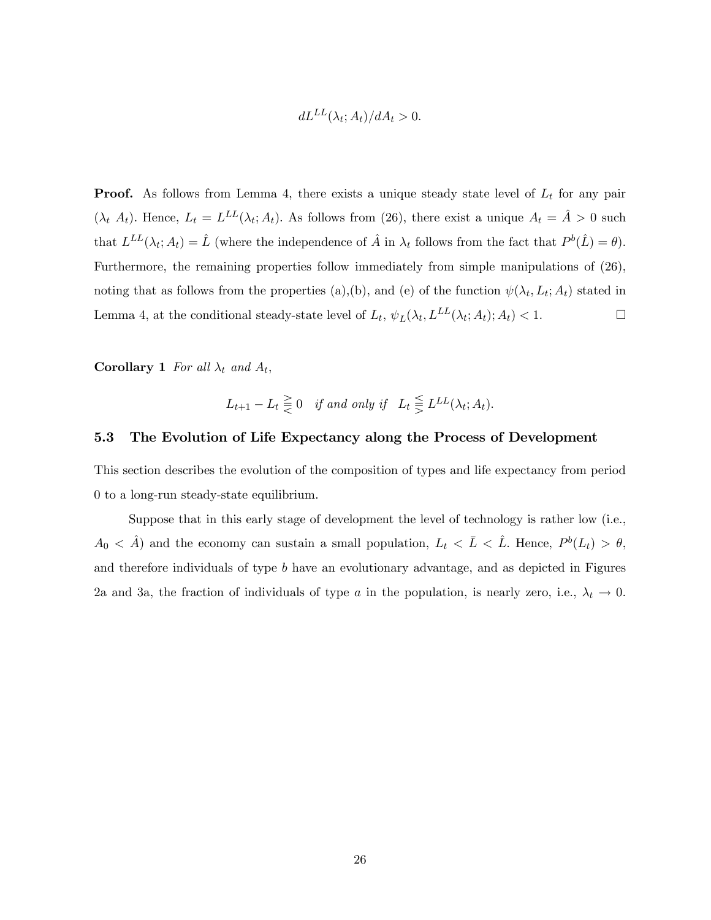$$
dL^{LL}(\lambda_t; A_t)/dA_t > 0.
$$

**Proof.** As follows from Lemma 4, there exists a unique steady state level of  $L_t$  for any pair  $(\lambda_t A_t)$ . Hence,  $L_t = L^{LL}(\lambda_t; A_t)$ . As follows from (26), there exist a unique  $A_t = \hat{A} > 0$  such that  $L^{LL}(\lambda_t; A_t) = \hat{L}$  (where the independence of  $\hat{A}$  in  $\lambda_t$  follows from the fact that  $P^b(\hat{L}) = \theta$ ). Furthermore, the remaining properties follow immediately from simple manipulations of (26), noting that as follows from the properties (a),(b), and (e) of the function  $\psi(\lambda_t, L_t; A_t)$  stated in Lemma 4, at the conditional steady-state level of  $L_t$ ,  $\psi_L(\lambda_t, L^{LL}(\lambda_t; A_t); A_t) < 1$ .

Corollary 1 For all  $\lambda_t$  and  $A_t$ ,

$$
L_{t+1} - L_t \geq 0 \quad \text{if and only if} \quad L_t \leq L^{LL}(\lambda_t; A_t).
$$

#### 5.3 The Evolution of Life Expectancy along the Process of Development

This section describes the evolution of the composition of types and life expectancy from period 0 to a long-run steady-state equilibrium.

Suppose that in this early stage of development the level of technology is rather low (i.e.,  $A_0 < \hat{A}$  and the economy can sustain a small population,  $L_t < \bar{L} < \hat{L}$ . Hence,  $P^b(L_t) > \theta$ , and therefore individuals of type b have an evolutionary advantage, and as depicted in Figures 2a and 3a, the fraction of individuals of type a in the population, is nearly zero, i.e.,  $\lambda_t \to 0$ .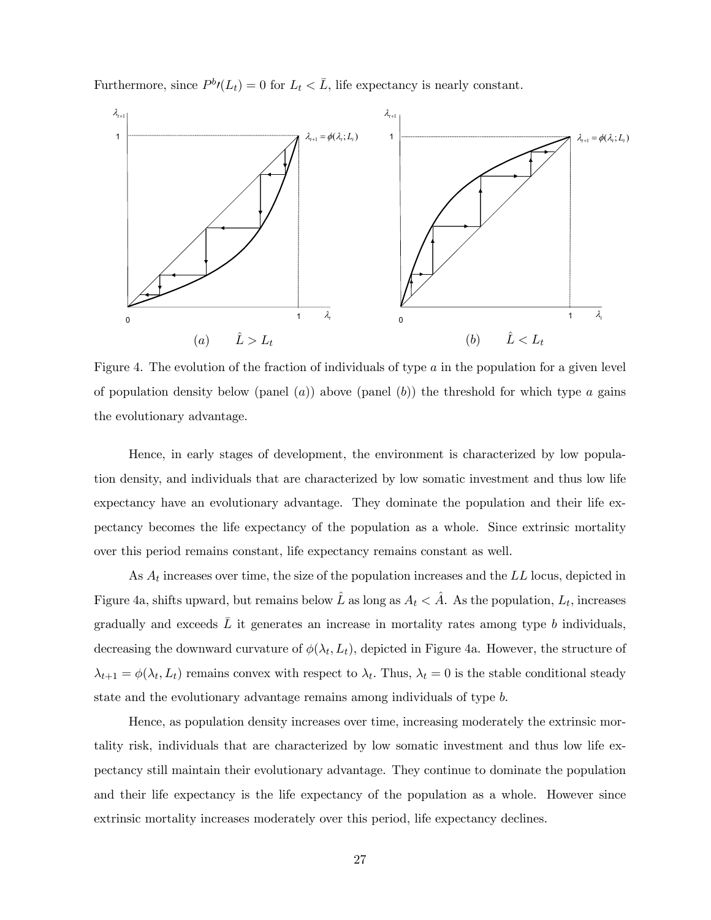Furthermore, since  $P^{b}I(L_t)=0$  for  $L_t < \bar{L}$ , life expectancy is nearly constant.



Figure 4. The evolution of the fraction of individuals of type  $a$  in the population for a given level of population density below (panel  $(a)$ ) above (panel  $(b)$ ) the threshold for which type a gains the evolutionary advantage.

Hence, in early stages of development, the environment is characterized by low population density, and individuals that are characterized by low somatic investment and thus low life expectancy have an evolutionary advantage. They dominate the population and their life expectancy becomes the life expectancy of the population as a whole. Since extrinsic mortality over this period remains constant, life expectancy remains constant as well.

As  $A_t$  increases over time, the size of the population increases and the LL locus, depicted in Figure 4a, shifts upward, but remains below  $\hat{L}$  as long as  $A_t < \hat{A}$ . As the population,  $L_t$ , increases gradually and exceeds  $\overline{L}$  it generates an increase in mortality rates among type b individuals, decreasing the downward curvature of  $\phi(\lambda_t, L_t)$ , depicted in Figure 4a. However, the structure of  $\lambda_{t+1} = \phi(\lambda_t, L_t)$  remains convex with respect to  $\lambda_t$ . Thus,  $\lambda_t = 0$  is the stable conditional steady state and the evolutionary advantage remains among individuals of type b.

Hence, as population density increases over time, increasing moderately the extrinsic mortality risk, individuals that are characterized by low somatic investment and thus low life expectancy still maintain their evolutionary advantage. They continue to dominate the population and their life expectancy is the life expectancy of the population as a whole. However since extrinsic mortality increases moderately over this period, life expectancy declines.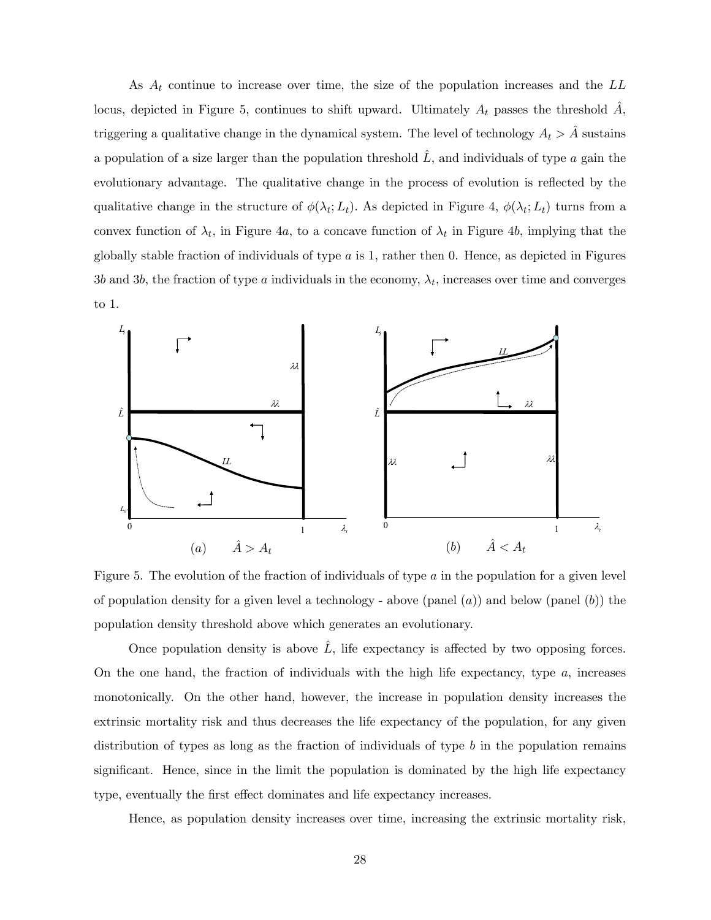As  $A_t$  continue to increase over time, the size of the population increases and the  $LL$ locus, depicted in Figure 5, continues to shift upward. Ultimately  $A_t$  passes the threshold  $A$ , triggering a qualitative change in the dynamical system. The level of technology  $A_t > A$  sustains a population of a size larger than the population threshold  $L$ , and individuals of type  $a$  gain the evolutionary advantage. The qualitative change in the process of evolution is reflected by the qualitative change in the structure of  $\phi(\lambda_t;L_t)$ . As depicted in Figure 4,  $\phi(\lambda_t;L_t)$  turns from a convex function of  $\lambda_t$ , in Figure 4a, to a concave function of  $\lambda_t$  in Figure 4b, implying that the globally stable fraction of individuals of type  $a$  is 1, rather then 0. Hence, as depicted in Figures 3b and 3b, the fraction of type a individuals in the economy,  $\lambda_t$ , increases over time and converges to 1.



Figure 5. The evolution of the fraction of individuals of type  $a$  in the population for a given level of population density for a given level a technology - above (panel  $(a)$ ) and below (panel  $(b)$ ) the population density threshold above which generates an evolutionary.

Once population density is above  $L$ , life expectancy is affected by two opposing forces. On the one hand, the fraction of individuals with the high life expectancy, type  $a$ , increases monotonically. On the other hand, however, the increase in population density increases the extrinsic mortality risk and thus decreases the life expectancy of the population, for any given distribution of types as long as the fraction of individuals of type  $b$  in the population remains significant. Hence, since in the limit the population is dominated by the high life expectancy type, eventually the first effect dominates and life expectancy increases.

Hence, as population density increases over time, increasing the extrinsic mortality risk,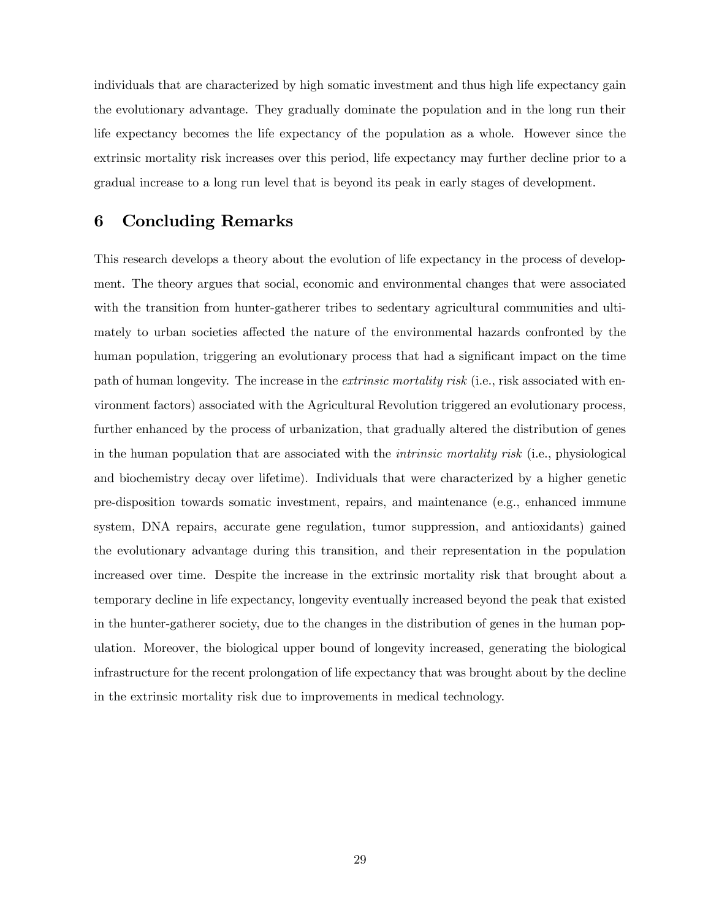individuals that are characterized by high somatic investment and thus high life expectancy gain the evolutionary advantage. They gradually dominate the population and in the long run their life expectancy becomes the life expectancy of the population as a whole. However since the extrinsic mortality risk increases over this period, life expectancy may further decline prior to a gradual increase to a long run level that is beyond its peak in early stages of development.

## 6 Concluding Remarks

This research develops a theory about the evolution of life expectancy in the process of development. The theory argues that social, economic and environmental changes that were associated with the transition from hunter-gatherer tribes to sedentary agricultural communities and ultimately to urban societies affected the nature of the environmental hazards confronted by the human population, triggering an evolutionary process that had a significant impact on the time path of human longevity. The increase in the *extrinsic mortality risk* (i.e., risk associated with environment factors) associated with the Agricultural Revolution triggered an evolutionary process, further enhanced by the process of urbanization, that gradually altered the distribution of genes in the human population that are associated with the intrinsic mortality risk (i.e., physiological and biochemistry decay over lifetime). Individuals that were characterized by a higher genetic pre-disposition towards somatic investment, repairs, and maintenance (e.g., enhanced immune system, DNA repairs, accurate gene regulation, tumor suppression, and antioxidants) gained the evolutionary advantage during this transition, and their representation in the population increased over time. Despite the increase in the extrinsic mortality risk that brought about a temporary decline in life expectancy, longevity eventually increased beyond the peak that existed in the hunter-gatherer society, due to the changes in the distribution of genes in the human population. Moreover, the biological upper bound of longevity increased, generating the biological infrastructure for the recent prolongation of life expectancy that was brought about by the decline in the extrinsic mortality risk due to improvements in medical technology.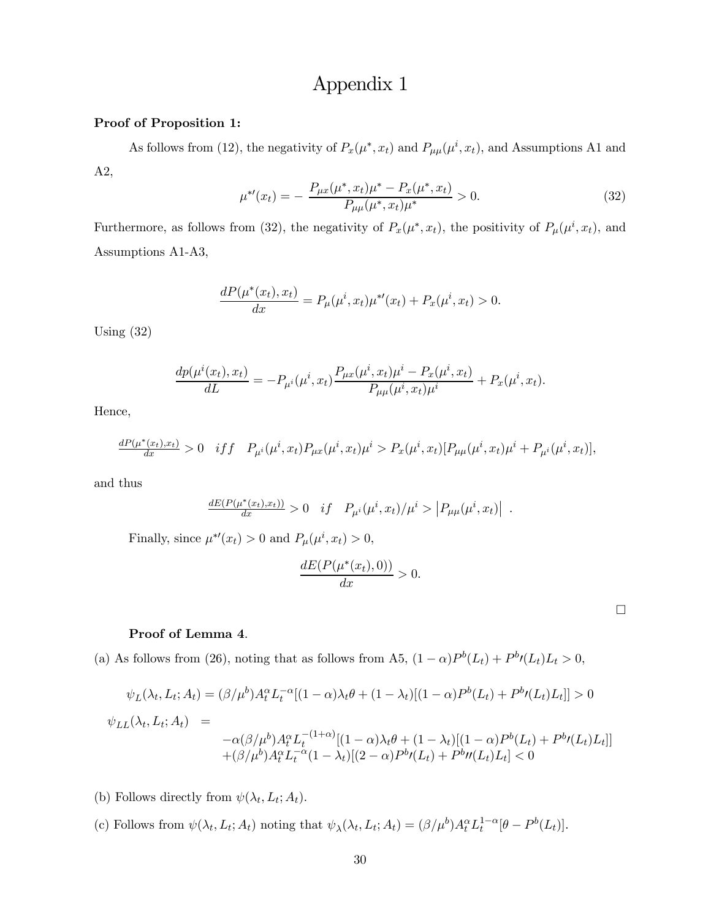# Appendix 1

#### Proof of Proposition 1:

As follows from (12), the negativity of  $P_x(\mu^*, x_t)$  and  $P_{\mu\mu}(\mu^i, x_t)$ , and Assumptions A1 and A2,

$$
\mu^{*'}(x_t) = -\frac{P_{\mu x}(\mu^*, x_t)\mu^* - P_x(\mu^*, x_t)}{P_{\mu\mu}(\mu^*, x_t)\mu^*} > 0.
$$
\n(32)

Furthermore, as follows from (32), the negativity of  $P_x(\mu^*, x_t)$ , the positivity of  $P_\mu(\mu^i, x_t)$ , and Assumptions A1-A3,

$$
\frac{dP(\mu^*(x_t), x_t)}{dx} = P_{\mu}(\mu^i, x_t)\mu^{*'}(x_t) + P_x(\mu^i, x_t) > 0.
$$

Using (32)

$$
\frac{dp(\mu^{i}(x_t), x_t)}{dL} = -P_{\mu^{i}}(\mu^{i}, x_t) \frac{P_{\mu x}(\mu^{i}, x_t)\mu^{i} - P_{x}(\mu^{i}, x_t)}{P_{\mu\mu}(\mu^{i}, x_t)\mu^{i}} + P_{x}(\mu^{i}, x_t).
$$

Hence,

$$
\frac{dP(\mu^*(x_t), x_t)}{dx} > 0 \quad if f \quad P_{\mu^i}(\mu^i, x_t) P_{\mu x}(\mu^i, x_t) \mu^i > P_x(\mu^i, x_t) [P_{\mu\mu}(\mu^i, x_t) \mu^i + P_{\mu^i}(\mu^i, x_t)],
$$

and thus

$$
\frac{dE(P(\mu^*(x_t), x_t))}{dx} > 0 \quad if \quad P_{\mu^i}(\mu^i, x_t) / \mu^i > |P_{\mu\mu}(\mu^i, x_t)|.
$$

Finally, since  $\mu^{*}(x_t) > 0$  and  $P_\mu(\mu^i, x_t) > 0$ ,

$$
\frac{dE(P(\mu^*(x_t),0))}{dx} > 0.
$$

Proof of Lemma 4.

(a) As follows from (26), noting that as follows from A5,  $(1 - \alpha)P^b(L_t) + P^b(C_t)L_t > 0$ ,

$$
\psi_L(\lambda_t, L_t; A_t) = (\beta/\mu^b) A_t^{\alpha} L_t^{-\alpha} [(1-\alpha)\lambda_t \theta + (1-\lambda_t)[(1-\alpha)P^b(L_t) + P^b \prime(L_t)L_t]] > 0
$$
  

$$
\psi_{LL}(\lambda_t, L_t; A_t) =
$$

$$
-\alpha(\beta/\mu^b)A_t^{\alpha}L_t^{-(1+\alpha)}[(1-\alpha)\lambda_t\theta + (1-\lambda_t)[(1-\alpha)P^b(L_t) + P^bI(L_t)L_t]]
$$
  
+
$$
(\beta/\mu^b)A_t^{\alpha}L_t^{-\alpha}(1-\lambda_t)[(2-\alpha)P^bI(L_t) + P^bI(L_t)L_t] < 0
$$

- (b) Follows directly from  $\psi(\lambda_t, L_t; A_t)$ .
- (c) Follows from  $\psi(\lambda_t, L_t; A_t)$  noting that  $\psi_{\lambda}(\lambda_t, L_t; A_t) = (\beta/\mu^b)A_t^{\alpha}L_t^{1-\alpha}[\theta P^b(L_t)].$

 $\Box$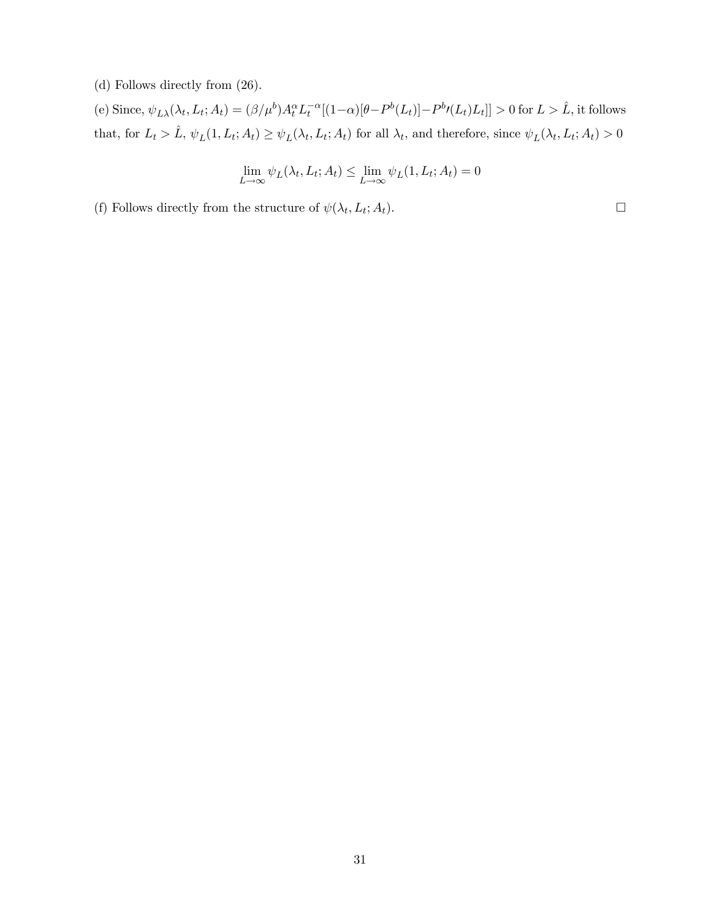(d) Follows directly from (26).

(e) Since,  $\psi_{L\lambda}(\lambda_t, L_t; A_t) = (\beta/\mu^b)A_t^{\alpha} L_t^{-\alpha}[(1-\alpha)[\theta - P^b(L_t)] - P^b(L_t)L_t]] > 0$  for  $L > \hat{L}$ , it follows that, for  $L_t > \hat{L}$ ,  $\psi_L(1, L_t; A_t) \ge \psi_L(\lambda_t, L_t; A_t)$  for all  $\lambda_t$ , and therefore, since  $\psi_L(\lambda_t, L_t; A_t) > 0$ 

$$
\lim_{L \to \infty} \psi_L(\lambda_t, L_t; A_t) \le \lim_{L \to \infty} \psi_L(1, L_t; A_t) = 0
$$

(f) Follows directly from the structure of  $\psi(\lambda_t, L_t; A_t)$ .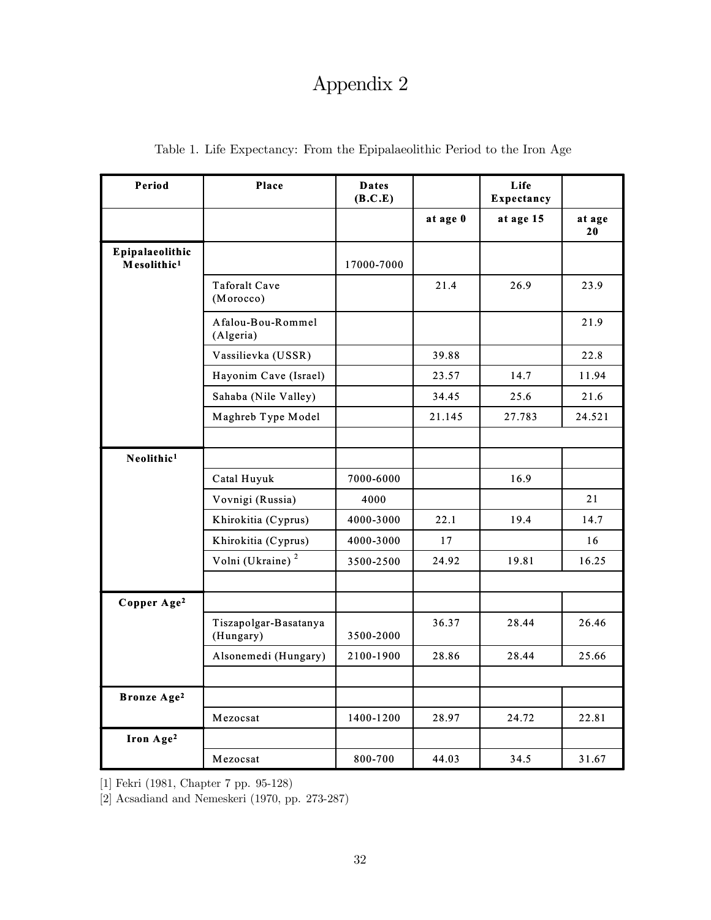# Appendix 2

| Period                                     | Place                              | <b>Dates</b><br>(B.C.E) |          | Life<br>Expectancy |              |
|--------------------------------------------|------------------------------------|-------------------------|----------|--------------------|--------------|
|                                            |                                    |                         | at age 0 | at age 15          | at age<br>20 |
| Epipalaeolithic<br>Mesolithic <sup>1</sup> |                                    | 17000-7000              |          |                    |              |
|                                            | <b>Taforalt Cave</b><br>(Morocco)  |                         | 21.4     | 26.9               | 23.9         |
|                                            | Afalou-Bou-Rommel<br>(Algeria)     |                         |          |                    | 21.9         |
|                                            | Vassilievka (USSR)                 |                         | 39.88    |                    | 22.8         |
|                                            | Hayonim Cave (Israel)              |                         | 23.57    | 14.7               | 11.94        |
|                                            | Sahaba (Nile Valley)               |                         | 34.45    | 25.6               | 21.6         |
|                                            | Maghreb Type Model                 |                         | 21.145   | 27.783             | 24.521       |
|                                            |                                    |                         |          |                    |              |
| Neolithic <sup>1</sup>                     |                                    |                         |          |                    |              |
|                                            | Catal Huyuk                        | 7000-6000               |          | 16.9               |              |
|                                            | Vovnigi (Russia)                   | 4000                    |          |                    | 21           |
|                                            | Khirokitia (Cyprus)                | 4000-3000               | 22.1     | 19.4               | 14.7         |
|                                            | Khirokitia (Cyprus)                | 4000-3000               | 17       |                    | 16           |
|                                            | Volni (Ukraine) <sup>2</sup>       | 3500-2500               | 24.92    | 19.81              | 16.25        |
|                                            |                                    |                         |          |                    |              |
| Copper Age <sup>2</sup>                    |                                    |                         |          |                    |              |
|                                            | Tiszapolgar-Basatanya<br>(Hungary) | 3500-2000               | 36.37    | 28.44              | 26.46        |
|                                            | Alsonemedi (Hungary)               | 2100-1900               | 28.86    | 28.44              | 25.66        |
|                                            |                                    |                         |          |                    |              |
| Bronze Age <sup>2</sup>                    |                                    |                         |          |                    |              |
|                                            | Mezocsat                           | 1400-1200               | 28.97    | 24.72              | 22.81        |
| Iron Age <sup>2</sup>                      |                                    |                         |          |                    |              |
|                                            | Mezocsat                           | 800-700                 | 44.03    | 34.5               | 31.67        |

## Table 1. Life Expectancy: From the Epipalaeolithic Period to the Iron Age

[1] Fekri (1981, Chapter 7 pp. 95-128)

[2] Acsadiand and Nemeskeri (1970, pp. 273-287)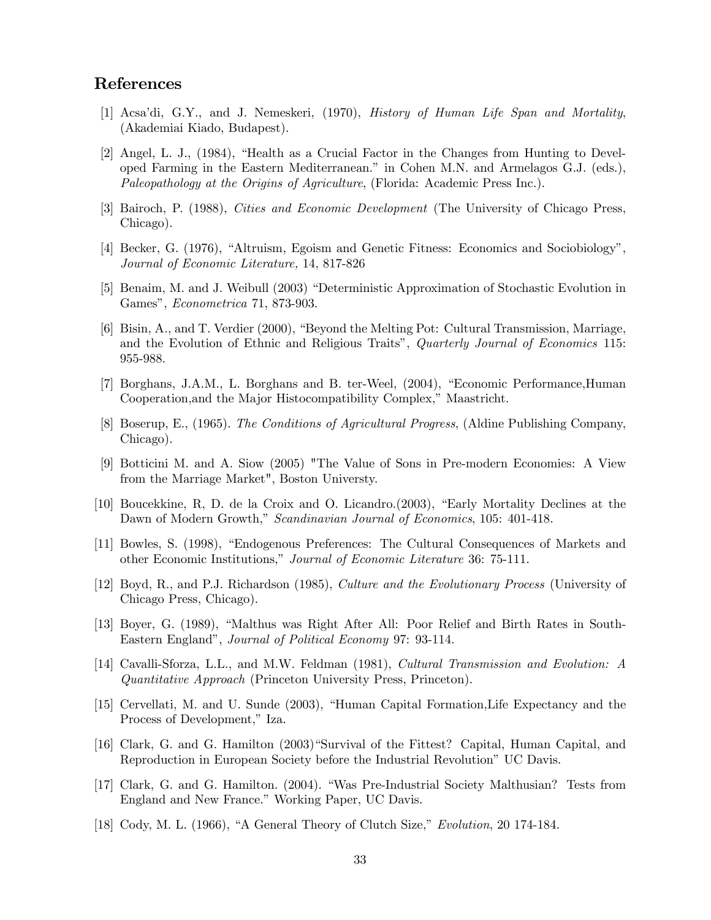## References

- [1] Acsa'di, G.Y., and J. Nemeskeri, (1970), History of Human Life Span and Mortality, (Akademiai Kiado, Budapest).
- [2] Angel, L. J., (1984), "Health as a Crucial Factor in the Changes from Hunting to Developed Farming in the Eastern Mediterranean." in Cohen M.N. and Armelagos G.J. (eds.), Paleopathology at the Origins of Agriculture, (Florida: Academic Press Inc.).
- [3] Bairoch, P. (1988), Cities and Economic Development (The University of Chicago Press, Chicago).
- [4] Becker, G. (1976), "Altruism, Egoism and Genetic Fitness: Economics and Sociobiology", Journal of Economic Literature, 14, 817-826
- [5] Benaim, M. and J. Weibull (2003) "Deterministic Approximation of Stochastic Evolution in Games", Econometrica 71, 873-903.
- [6] Bisin, A., and T. Verdier (2000), "Beyond the Melting Pot: Cultural Transmission, Marriage, and the Evolution of Ethnic and Religious Traits", Quarterly Journal of Economics 115: 955-988.
- [7] Borghans, J.A.M., L. Borghans and B. ter-Weel, (2004), "Economic Performance,Human Cooperation,and the Major Histocompatibility Complex," Maastricht.
- [8] Boserup, E., (1965). The Conditions of Agricultural Progress, (Aldine Publishing Company, Chicago).
- [9] Botticini M. and A. Siow (2005) "The Value of Sons in Pre-modern Economies: A View from the Marriage Market", Boston Universty.
- [10] Boucekkine, R, D. de la Croix and O. Licandro.(2003), "Early Mortality Declines at the Dawn of Modern Growth," Scandinavian Journal of Economics, 105: 401-418.
- [11] Bowles, S. (1998), "Endogenous Preferences: The Cultural Consequences of Markets and other Economic Institutions," Journal of Economic Literature 36: 75-111.
- [12] Boyd, R., and P.J. Richardson (1985), Culture and the Evolutionary Process (University of Chicago Press, Chicago).
- [13] Boyer, G. (1989), "Malthus was Right After All: Poor Relief and Birth Rates in South-Eastern England", Journal of Political Economy 97: 93-114.
- [14] Cavalli-Sforza, L.L., and M.W. Feldman (1981), Cultural Transmission and Evolution: A Quantitative Approach (Princeton University Press, Princeton).
- [15] Cervellati, M. and U. Sunde (2003), "Human Capital Formation,Life Expectancy and the Process of Development," Iza.
- [16] Clark, G. and G. Hamilton (2003)"Survival of the Fittest? Capital, Human Capital, and Reproduction in European Society before the Industrial Revolution" UC Davis.
- [17] Clark, G. and G. Hamilton. (2004). "Was Pre-Industrial Society Malthusian? Tests from England and New France." Working Paper, UC Davis.
- [18] Cody, M. L. (1966), "A General Theory of Clutch Size," Evolution, 20 174-184.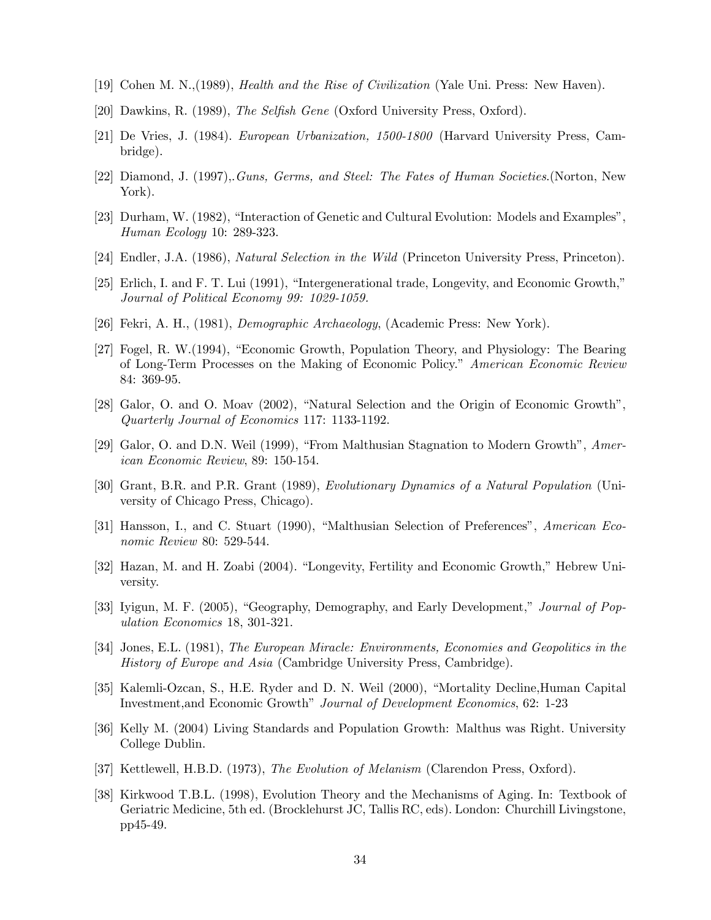- [19] Cohen M. N.,(1989), Health and the Rise of Civilization (Yale Uni. Press: New Haven).
- [20] Dawkins, R. (1989), The Selfish Gene (Oxford University Press, Oxford).
- [21] De Vries, J. (1984). European Urbanization, 1500-1800 (Harvard University Press, Cambridge).
- [22] Diamond, J. (1997),.Guns, Germs, and Steel: The Fates of Human Societies.(Norton, New York).
- [23] Durham, W. (1982), "Interaction of Genetic and Cultural Evolution: Models and Examples", Human Ecology 10: 289-323.
- [24] Endler, J.A. (1986), Natural Selection in the Wild (Princeton University Press, Princeton).
- [25] Erlich, I. and F. T. Lui (1991), "Intergenerational trade, Longevity, and Economic Growth," Journal of Political Economy 99: 1029-1059.
- [26] Fekri, A. H., (1981), Demographic Archaeology, (Academic Press: New York).
- [27] Fogel, R. W.(1994), "Economic Growth, Population Theory, and Physiology: The Bearing of Long-Term Processes on the Making of Economic Policy." American Economic Review 84: 369-95.
- [28] Galor, O. and O. Moav (2002), "Natural Selection and the Origin of Economic Growth", Quarterly Journal of Economics 117: 1133-1192.
- [29] Galor, O. and D.N. Weil (1999), "From Malthusian Stagnation to Modern Growth", American Economic Review, 89: 150-154.
- [30] Grant, B.R. and P.R. Grant (1989), Evolutionary Dynamics of a Natural Population (University of Chicago Press, Chicago).
- [31] Hansson, I., and C. Stuart (1990), "Malthusian Selection of Preferences", American Economic Review 80: 529-544.
- [32] Hazan, M. and H. Zoabi (2004). "Longevity, Fertility and Economic Growth," Hebrew University.
- [33] Iyigun, M. F. (2005), "Geography, Demography, and Early Development," Journal of Population Economics 18, 301-321.
- [34] Jones, E.L. (1981), The European Miracle: Environments, Economies and Geopolitics in the History of Europe and Asia (Cambridge University Press, Cambridge).
- [35] Kalemli-Ozcan, S., H.E. Ryder and D. N. Weil (2000), "Mortality Decline,Human Capital Investment,and Economic Growth" Journal of Development Economics, 62: 1-23
- [36] Kelly M. (2004) Living Standards and Population Growth: Malthus was Right. University College Dublin.
- [37] Kettlewell, H.B.D. (1973), The Evolution of Melanism (Clarendon Press, Oxford).
- [38] Kirkwood T.B.L. (1998), Evolution Theory and the Mechanisms of Aging. In: Textbook of Geriatric Medicine, 5th ed. (Brocklehurst JC, Tallis RC, eds). London: Churchill Livingstone, pp45-49.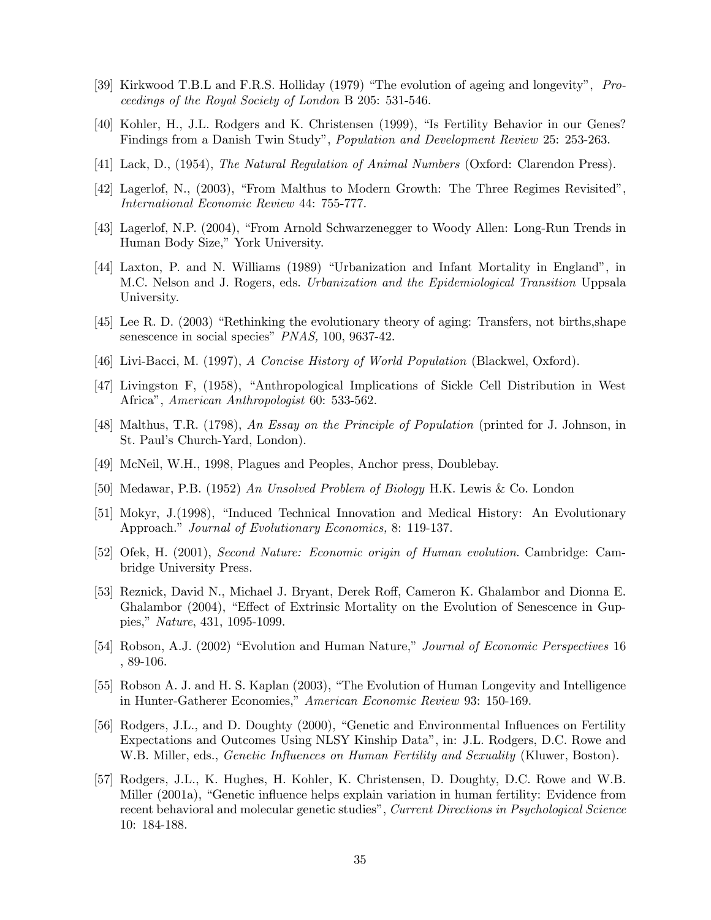- [39] Kirkwood T.B.L and F.R.S. Holliday (1979) "The evolution of ageing and longevity", Proceedings of the Royal Society of London B 205: 531-546.
- [40] Kohler, H., J.L. Rodgers and K. Christensen (1999), "Is Fertility Behavior in our Genes? Findings from a Danish Twin Study", Population and Development Review 25: 253-263.
- [41] Lack, D., (1954), The Natural Regulation of Animal Numbers (Oxford: Clarendon Press).
- [42] Lagerlof, N., (2003), "From Malthus to Modern Growth: The Three Regimes Revisited", International Economic Review 44: 755-777.
- [43] Lagerlof, N.P. (2004), "From Arnold Schwarzenegger to Woody Allen: Long-Run Trends in Human Body Size," York University.
- [44] Laxton, P. and N. Williams (1989) "Urbanization and Infant Mortality in England", in M.C. Nelson and J. Rogers, eds. Urbanization and the Epidemiological Transition Uppsala University.
- [45] Lee R. D. (2003) "Rethinking the evolutionary theory of aging: Transfers, not births,shape senescence in social species" PNAS, 100, 9637-42.
- [46] Livi-Bacci, M. (1997), A Concise History of World Population (Blackwel, Oxford).
- [47] Livingston F, (1958), "Anthropological Implications of Sickle Cell Distribution in West Africa", American Anthropologist 60: 533-562.
- [48] Malthus, T.R. (1798), An Essay on the Principle of Population (printed for J. Johnson, in St. Paul's Church-Yard, London).
- [49] McNeil, W.H., 1998, Plagues and Peoples, Anchor press, Doublebay.
- [50] Medawar, P.B. (1952) An Unsolved Problem of Biology H.K. Lewis & Co. London
- [51] Mokyr, J.(1998), "Induced Technical Innovation and Medical History: An Evolutionary Approach." Journal of Evolutionary Economics, 8: 119-137.
- [52] Ofek, H. (2001), Second Nature: Economic origin of Human evolution. Cambridge: Cambridge University Press.
- [53] Reznick, David N., Michael J. Bryant, Derek Roff, Cameron K. Ghalambor and Dionna E. Ghalambor (2004), "Effect of Extrinsic Mortality on the Evolution of Senescence in Guppies," Nature, 431, 1095-1099.
- [54] Robson, A.J. (2002) "Evolution and Human Nature," Journal of Economic Perspectives 16 , 89-106.
- [55] Robson A. J. and H. S. Kaplan (2003), "The Evolution of Human Longevity and Intelligence in Hunter-Gatherer Economies," American Economic Review 93: 150-169.
- [56] Rodgers, J.L., and D. Doughty (2000), "Genetic and Environmental Influences on Fertility Expectations and Outcomes Using NLSY Kinship Data", in: J.L. Rodgers, D.C. Rowe and W.B. Miller, eds., *Genetic Influences on Human Fertility and Sexuality* (Kluwer, Boston).
- [57] Rodgers, J.L., K. Hughes, H. Kohler, K. Christensen, D. Doughty, D.C. Rowe and W.B. Miller (2001a), "Genetic influence helps explain variation in human fertility: Evidence from recent behavioral and molecular genetic studies", Current Directions in Psychological Science 10: 184-188.